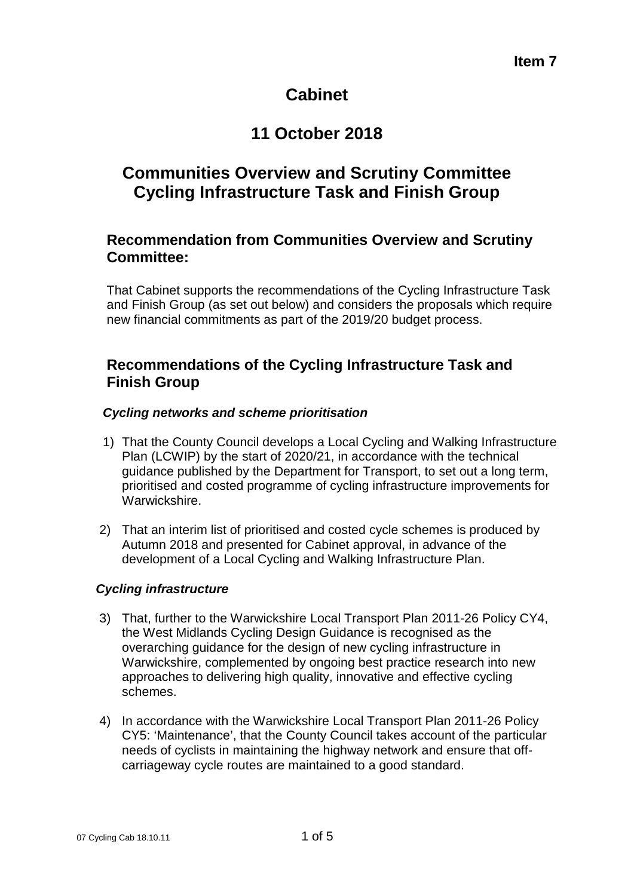# **Cabinet**

# **11 October 2018**

# **Communities Overview and Scrutiny Committee Cycling Infrastructure Task and Finish Group**

#### **Recommendation from Communities Overview and Scrutiny Committee:**

That Cabinet supports the recommendations of the Cycling Infrastructure Task and Finish Group (as set out below) and considers the proposals which require new financial commitments as part of the 2019/20 budget process.

#### **Recommendations of the Cycling Infrastructure Task and Finish Group**

#### *Cycling networks and scheme prioritisation*

- 1) That the County Council develops a Local Cycling and Walking Infrastructure Plan (LCWIP) by the start of 2020/21, in accordance with the technical guidance published by the Department for Transport, to set out a long term, prioritised and costed programme of cycling infrastructure improvements for Warwickshire.
- 2) That an interim list of prioritised and costed cycle schemes is produced by Autumn 2018 and presented for Cabinet approval, in advance of the development of a Local Cycling and Walking Infrastructure Plan.

#### *Cycling infrastructure*

- 3) That, further to the Warwickshire Local Transport Plan 2011-26 Policy CY4, the West Midlands Cycling Design Guidance is recognised as the overarching guidance for the design of new cycling infrastructure in Warwickshire, complemented by ongoing best practice research into new approaches to delivering high quality, innovative and effective cycling schemes.
- 4) In accordance with the Warwickshire Local Transport Plan 2011-26 Policy CY5: 'Maintenance', that the County Council takes account of the particular needs of cyclists in maintaining the highway network and ensure that offcarriageway cycle routes are maintained to a good standard.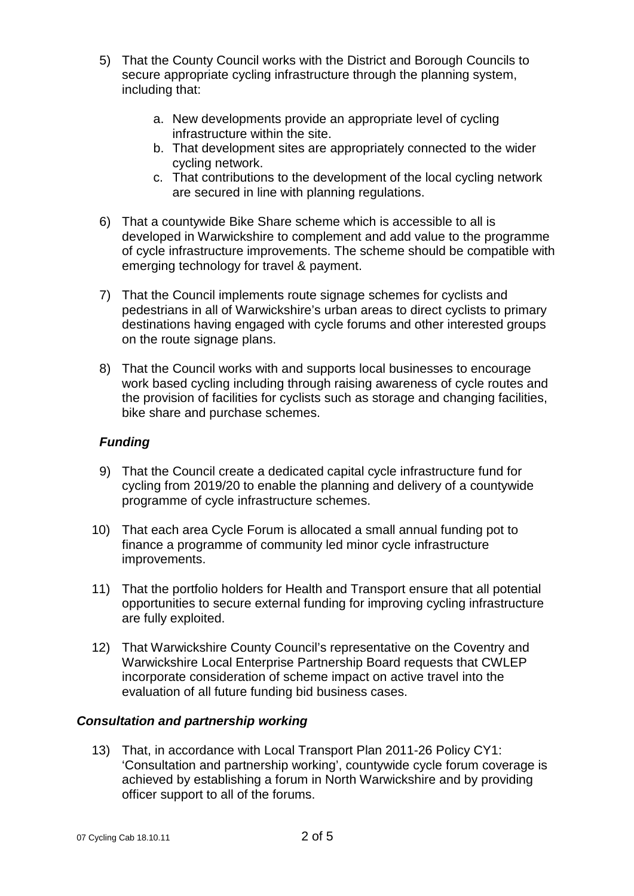- 5) That the County Council works with the District and Borough Councils to secure appropriate cycling infrastructure through the planning system, including that:
	- a. New developments provide an appropriate level of cycling infrastructure within the site.
	- b. That development sites are appropriately connected to the wider cycling network.
	- c. That contributions to the development of the local cycling network are secured in line with planning regulations.
- 6) That a countywide Bike Share scheme which is accessible to all is developed in Warwickshire to complement and add value to the programme of cycle infrastructure improvements. The scheme should be compatible with emerging technology for travel & payment.
- 7) That the Council implements route signage schemes for cyclists and pedestrians in all of Warwickshire's urban areas to direct cyclists to primary destinations having engaged with cycle forums and other interested groups on the route signage plans.
- 8) That the Council works with and supports local businesses to encourage work based cycling including through raising awareness of cycle routes and the provision of facilities for cyclists such as storage and changing facilities, bike share and purchase schemes.

#### *Funding*

- 9) That the Council create a dedicated capital cycle infrastructure fund for cycling from 2019/20 to enable the planning and delivery of a countywide programme of cycle infrastructure schemes.
- 10) That each area Cycle Forum is allocated a small annual funding pot to finance a programme of community led minor cycle infrastructure improvements.
- 11) That the portfolio holders for Health and Transport ensure that all potential opportunities to secure external funding for improving cycling infrastructure are fully exploited.
- 12) That Warwickshire County Council's representative on the Coventry and Warwickshire Local Enterprise Partnership Board requests that CWLEP incorporate consideration of scheme impact on active travel into the evaluation of all future funding bid business cases.

#### *Consultation and partnership working*

13) That, in accordance with Local Transport Plan 2011-26 Policy CY1: 'Consultation and partnership working', countywide cycle forum coverage is achieved by establishing a forum in North Warwickshire and by providing officer support to all of the forums.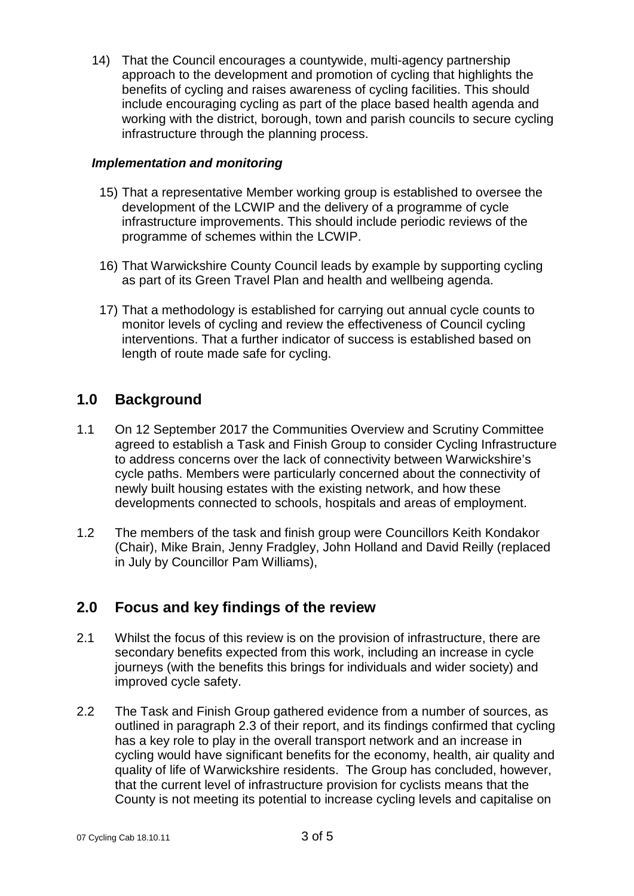14) That the Council encourages a countywide, multi-agency partnership approach to the development and promotion of cycling that highlights the benefits of cycling and raises awareness of cycling facilities. This should include encouraging cycling as part of the place based health agenda and working with the district, borough, town and parish councils to secure cycling infrastructure through the planning process.

#### *Implementation and monitoring*

- 15) That a representative Member working group is established to oversee the development of the LCWIP and the delivery of a programme of cycle infrastructure improvements. This should include periodic reviews of the programme of schemes within the LCWIP.
- 16) That Warwickshire County Council leads by example by supporting cycling as part of its Green Travel Plan and health and wellbeing agenda.
- 17) That a methodology is established for carrying out annual cycle counts to monitor levels of cycling and review the effectiveness of Council cycling interventions. That a further indicator of success is established based on length of route made safe for cycling.

#### **1.0 Background**

- 1.1 On 12 September 2017 the Communities Overview and Scrutiny Committee agreed to establish a Task and Finish Group to consider Cycling Infrastructure to address concerns over the lack of connectivity between Warwickshire's cycle paths. Members were particularly concerned about the connectivity of newly built housing estates with the existing network, and how these developments connected to schools, hospitals and areas of employment.
- 1.2 The members of the task and finish group were Councillors Keith Kondakor (Chair), Mike Brain, Jenny Fradgley, John Holland and David Reilly (replaced in July by Councillor Pam Williams),

#### **2.0 Focus and key findings of the review**

- 2.1 Whilst the focus of this review is on the provision of infrastructure, there are secondary benefits expected from this work, including an increase in cycle journeys (with the benefits this brings for individuals and wider society) and improved cycle safety.
- 2.2 The Task and Finish Group gathered evidence from a number of sources, as outlined in paragraph 2.3 of their report, and its findings confirmed that cycling has a key role to play in the overall transport network and an increase in cycling would have significant benefits for the economy, health, air quality and quality of life of Warwickshire residents. The Group has concluded, however, that the current level of infrastructure provision for cyclists means that the County is not meeting its potential to increase cycling levels and capitalise on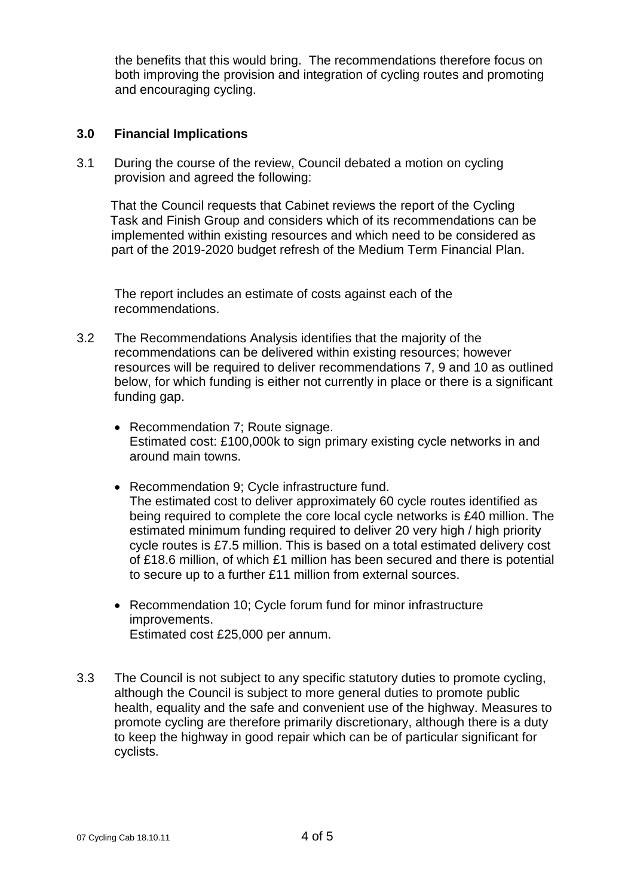the benefits that this would bring. The recommendations therefore focus on both improving the provision and integration of cycling routes and promoting and encouraging cycling.

#### **3.0 Financial Implications**

3.1 During the course of the review, Council debated a motion on cycling provision and agreed the following:

That the Council requests that Cabinet reviews the report of the Cycling Task and Finish Group and considers which of its recommendations can be implemented within existing resources and which need to be considered as part of the 2019-2020 budget refresh of the Medium Term Financial Plan.

The report includes an estimate of costs against each of the recommendations.

- 3.2 The Recommendations Analysis identifies that the majority of the recommendations can be delivered within existing resources; however resources will be required to deliver recommendations 7, 9 and 10 as outlined below, for which funding is either not currently in place or there is a significant funding gap.
	- Recommendation 7; Route signage. Estimated cost: £100,000k to sign primary existing cycle networks in and around main towns.
	- Recommendation 9; Cycle infrastructure fund. The estimated cost to deliver approximately 60 cycle routes identified as being required to complete the core local cycle networks is £40 million. The estimated minimum funding required to deliver 20 very high / high priority cycle routes is £7.5 million. This is based on a total estimated delivery cost of £18.6 million, of which £1 million has been secured and there is potential to secure up to a further £11 million from external sources.
	- Recommendation 10; Cycle forum fund for minor infrastructure improvements. Estimated cost £25,000 per annum.
- 3.3 The Council is not subject to any specific statutory duties to promote cycling, although the Council is subject to more general duties to promote public health, equality and the safe and convenient use of the highway. Measures to promote cycling are therefore primarily discretionary, although there is a duty to keep the highway in good repair which can be of particular significant for cyclists.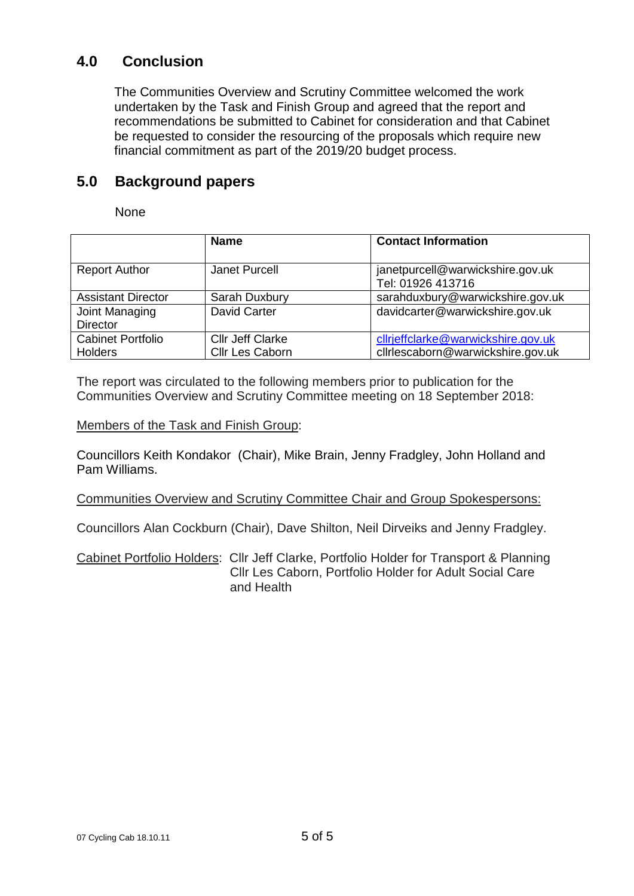### **4.0 Conclusion**

The Communities Overview and Scrutiny Committee welcomed the work undertaken by the Task and Finish Group and agreed that the report and recommendations be submitted to Cabinet for consideration and that Cabinet be requested to consider the resourcing of the proposals which require new financial commitment as part of the 2019/20 budget process.

#### **5.0 Background papers**

None

|                                            | <b>Name</b>                                | <b>Contact Information</b>                                              |
|--------------------------------------------|--------------------------------------------|-------------------------------------------------------------------------|
| <b>Report Author</b>                       | Janet Purcell                              | janetpurcell@warwickshire.gov.uk<br>Tel: 01926 413716                   |
| <b>Assistant Director</b>                  | Sarah Duxbury                              | sarahduxbury@warwickshire.gov.uk                                        |
| Joint Managing<br><b>Director</b>          | <b>David Carter</b>                        | davidcarter@warwickshire.gov.uk                                         |
| <b>Cabinet Portfolio</b><br><b>Holders</b> | <b>Cllr Jeff Clarke</b><br>Cllr Les Caborn | cllrjeffclarke@warwickshire.gov.uk<br>cllrlescaborn@warwickshire.gov.uk |

The report was circulated to the following members prior to publication for the Communities Overview and Scrutiny Committee meeting on 18 September 2018:

Members of the Task and Finish Group:

Councillors Keith Kondakor (Chair), Mike Brain, Jenny Fradgley, John Holland and Pam Williams.

Communities Overview and Scrutiny Committee Chair and Group Spokespersons:

Councillors Alan Cockburn (Chair), Dave Shilton, Neil Dirveiks and Jenny Fradgley.

Cabinet Portfolio Holders: Cllr Jeff Clarke, Portfolio Holder for Transport & Planning Cllr Les Caborn, Portfolio Holder for Adult Social Care and Health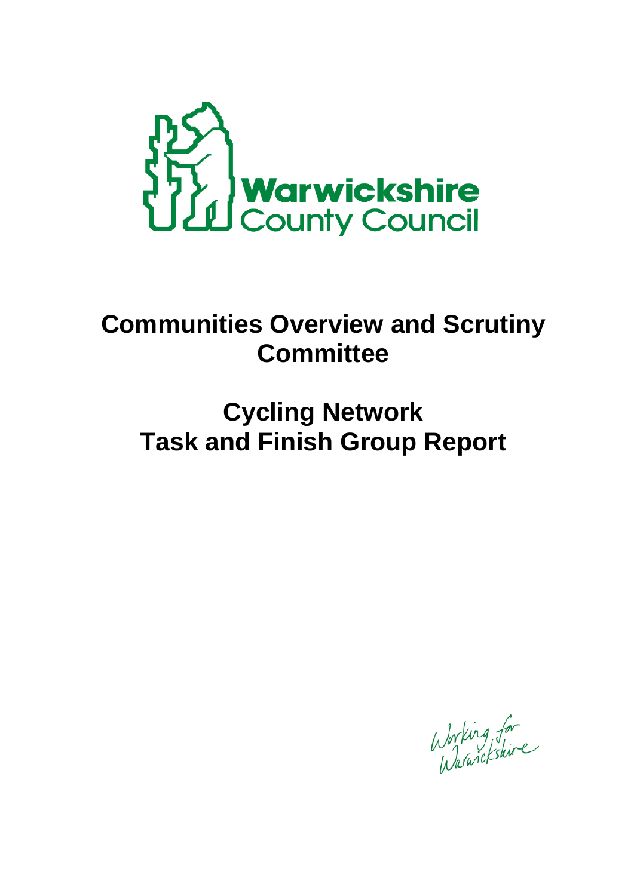

# **Communities Overview and Scrutiny Committee**

# **Cycling Network Task and Finish Group Report**

Working for<br>Warwickshire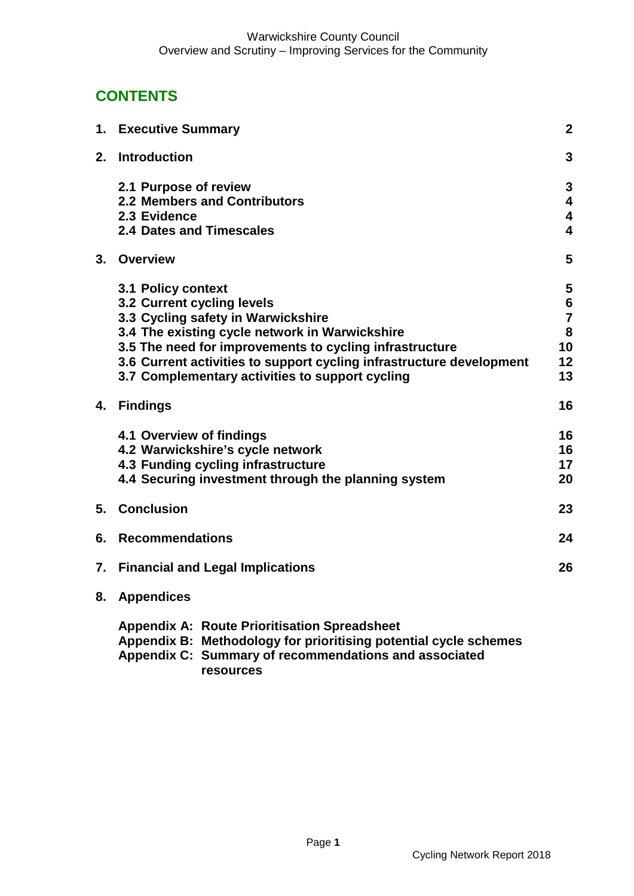# **CONTENTS**

|    | 1. Executive Summary                                                                                                                                                             | $\boldsymbol{2}$ |
|----|----------------------------------------------------------------------------------------------------------------------------------------------------------------------------------|------------------|
| 2. | <b>Introduction</b>                                                                                                                                                              | $\mathbf{3}$     |
|    | 2.1 Purpose of review                                                                                                                                                            | 3                |
|    | 2.2 Members and Contributors                                                                                                                                                     | 4                |
|    | 2.3 Evidence                                                                                                                                                                     | 4                |
|    | <b>2.4 Dates and Timescales</b>                                                                                                                                                  | 4                |
| 3. | Overview                                                                                                                                                                         | 5                |
|    | 3.1 Policy context                                                                                                                                                               | 5                |
|    | 3.2 Current cycling levels                                                                                                                                                       | $\bf 6$          |
|    | 3.3 Cycling safety in Warwickshire                                                                                                                                               | $\overline{7}$   |
|    | 3.4 The existing cycle network in Warwickshire                                                                                                                                   | 8                |
|    | 3.5 The need for improvements to cycling infrastructure                                                                                                                          | 10               |
|    | 3.6 Current activities to support cycling infrastructure development                                                                                                             | 12               |
|    | 3.7 Complementary activities to support cycling                                                                                                                                  | 13               |
| 4. | <b>Findings</b>                                                                                                                                                                  | 16               |
|    | 4.1 Overview of findings                                                                                                                                                         | 16               |
|    | 4.2 Warwickshire's cycle network                                                                                                                                                 | 16               |
|    | 4.3 Funding cycling infrastructure                                                                                                                                               | 17               |
|    | 4.4 Securing investment through the planning system                                                                                                                              | 20               |
| 5. | <b>Conclusion</b>                                                                                                                                                                | 23               |
| 6. | <b>Recommendations</b>                                                                                                                                                           | 24               |
| 7. | <b>Financial and Legal Implications</b>                                                                                                                                          | 26               |
| 8. | <b>Appendices</b>                                                                                                                                                                |                  |
|    | <b>Appendix A: Route Prioritisation Spreadsheet</b><br>Appendix B: Methodology for prioritising potential cycle schemes<br>Appendix C: Summary of recommendations and associated |                  |

**resources**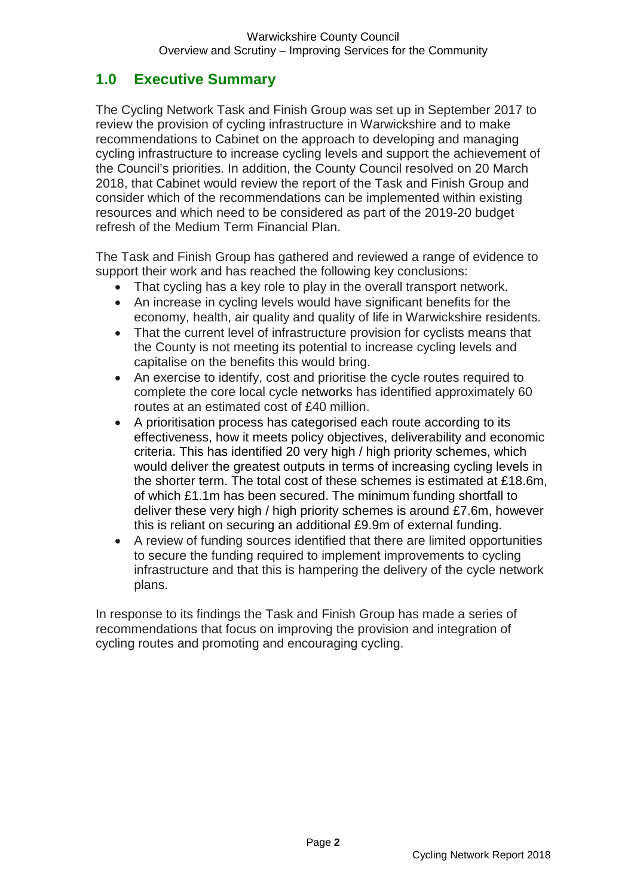# **1.0 Executive Summary**

The Cycling Network Task and Finish Group was set up in September 2017 to review the provision of cycling infrastructure in Warwickshire and to make recommendations to Cabinet on the approach to developing and managing cycling infrastructure to increase cycling levels and support the achievement of the Council's priorities. In addition, the County Council resolved on 20 March 2018, that Cabinet would review the report of the Task and Finish Group and consider which of the recommendations can be implemented within existing resources and which need to be considered as part of the 2019-20 budget refresh of the Medium Term Financial Plan.

The Task and Finish Group has gathered and reviewed a range of evidence to support their work and has reached the following key conclusions:

- That cycling has a key role to play in the overall transport network.
- An increase in cycling levels would have significant benefits for the economy, health, air quality and quality of life in Warwickshire residents.
- That the current level of infrastructure provision for cyclists means that the County is not meeting its potential to increase cycling levels and capitalise on the benefits this would bring.
- An exercise to identify, cost and prioritise the cycle routes required to complete the core local cycle networks has identified approximately 60 routes at an estimated cost of £40 million.
- A prioritisation process has categorised each route according to its effectiveness, how it meets policy objectives, deliverability and economic criteria. This has identified 20 very high / high priority schemes, which would deliver the greatest outputs in terms of increasing cycling levels in the shorter term. The total cost of these schemes is estimated at £18.6m, of which £1.1m has been secured. The minimum funding shortfall to deliver these very high / high priority schemes is around £7.6m, however this is reliant on securing an additional £9.9m of external funding.
- A review of funding sources identified that there are limited opportunities to secure the funding required to implement improvements to cycling infrastructure and that this is hampering the delivery of the cycle network plans.

In response to its findings the Task and Finish Group has made a series of recommendations that focus on improving the provision and integration of cycling routes and promoting and encouraging cycling.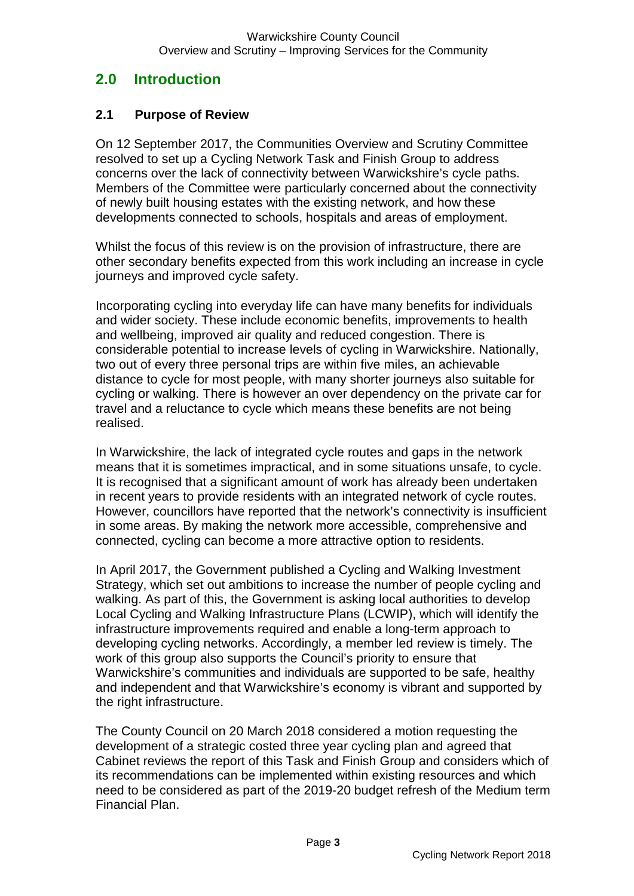### **2.0 Introduction**

#### **2.1 Purpose of Review**

On 12 September 2017, the Communities Overview and Scrutiny Committee resolved to set up a Cycling Network Task and Finish Group to address concerns over the lack of connectivity between Warwickshire's cycle paths. Members of the Committee were particularly concerned about the connectivity of newly built housing estates with the existing network, and how these developments connected to schools, hospitals and areas of employment.

Whilst the focus of this review is on the provision of infrastructure, there are other secondary benefits expected from this work including an increase in cycle journeys and improved cycle safety.

Incorporating cycling into everyday life can have many benefits for individuals and wider society. These include economic benefits, improvements to health and wellbeing, improved air quality and reduced congestion. There is considerable potential to increase levels of cycling in Warwickshire. Nationally, two out of every three personal trips are within five miles, an achievable distance to cycle for most people, with many shorter journeys also suitable for cycling or walking. There is however an over dependency on the private car for travel and a reluctance to cycle which means these benefits are not being realised.

In Warwickshire, the lack of integrated cycle routes and gaps in the network means that it is sometimes impractical, and in some situations unsafe, to cycle. It is recognised that a significant amount of work has already been undertaken in recent years to provide residents with an integrated network of cycle routes. However, councillors have reported that the network's connectivity is insufficient in some areas. By making the network more accessible, comprehensive and connected, cycling can become a more attractive option to residents.

In April 2017, the Government published a Cycling and Walking Investment Strategy, which set out ambitions to increase the number of people cycling and walking. As part of this, the Government is asking local authorities to develop Local Cycling and Walking Infrastructure Plans (LCWIP), which will identify the infrastructure improvements required and enable a long-term approach to developing cycling networks. Accordingly, a member led review is timely. The work of this group also supports the Council's priority to ensure that Warwickshire's communities and individuals are supported to be safe, healthy and independent and that Warwickshire's economy is vibrant and supported by the right infrastructure.

The County Council on 20 March 2018 considered a motion requesting the development of a strategic costed three year cycling plan and agreed that Cabinet reviews the report of this Task and Finish Group and considers which of its recommendations can be implemented within existing resources and which need to be considered as part of the 2019-20 budget refresh of the Medium term Financial Plan.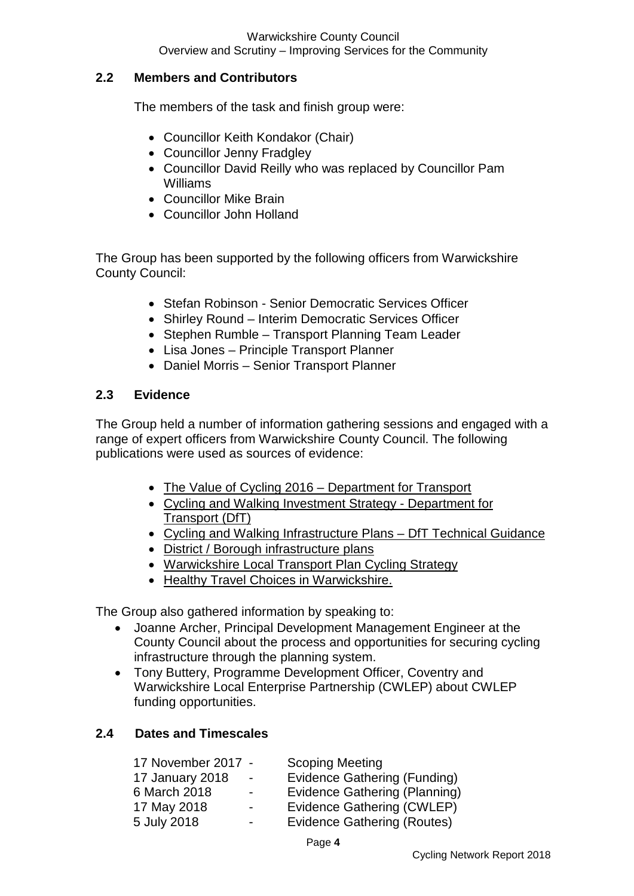#### **2.2 Members and Contributors**

The members of the task and finish group were:

- Councillor Keith Kondakor (Chair)
- Councillor Jenny Fradgley
- Councillor David Reilly who was replaced by Councillor Pam Williams
- Councillor Mike Brain
- Councillor John Holland

The Group has been supported by the following officers from Warwickshire County Council:

- Stefan Robinson Senior Democratic Services Officer
- Shirley Round Interim Democratic Services Officer
- Stephen Rumble Transport Planning Team Leader
- Lisa Jones Principle Transport Planner
- Daniel Morris Senior Transport Planner

#### **2.3 Evidence**

The Group held a number of information gathering sessions and engaged with a range of expert officers from Warwickshire County Council. The following publications were used as sources of evidence:

- [The Value of Cycling 2016 –](https://www.gov.uk/government/uploads/system/uploads/attachment_data/file/509587/value-of-cycling.pdf) Department for Transport
- [Cycling and Walking Investment Strategy -](https://www.gov.uk/government/uploads/system/uploads/attachment_data/file/603527/cycling-walking-investment-strategy.pdf) Department for [Transport \(DfT\)](https://www.gov.uk/government/uploads/system/uploads/attachment_data/file/603527/cycling-walking-investment-strategy.pdf)
- [Cycling and Walking Infrastructure Plans –](https://www.gov.uk/government/uploads/system/uploads/attachment_data/file/607016/cycling-walking-infrastructure-technical-guidance.pdf) DfT Technical Guidance
- District / Borough infrastructure plans
- [Warwickshire Local Transport Plan C](https://apps.warwickshire.gov.uk/api/documents/WCCC-630-116)ycling Strategy
- Healthy Travel Choices in Warwickshire.

The Group also gathered information by speaking to:

- Joanne Archer, Principal Development Management Engineer at the County Council about the process and opportunities for securing cycling infrastructure through the planning system.
- Tony Buttery, Programme Development Officer, Coventry and Warwickshire Local Enterprise Partnership (CWLEP) about CWLEP funding opportunities.

#### **2.4 Dates and Timescales**

| 17 November 2017 -     |                          | <b>Scoping Meeting</b>        |
|------------------------|--------------------------|-------------------------------|
| <b>17 January 2018</b> | $\sim$                   | Evidence Gathering (Funding)  |
| 6 March 2018           | $\blacksquare$           | Evidence Gathering (Planning) |
| 17 May 2018            | $\overline{\phantom{0}}$ | Evidence Gathering (CWLEP)    |
| 5 July 2018            | $\overline{\phantom{0}}$ | Evidence Gathering (Routes)   |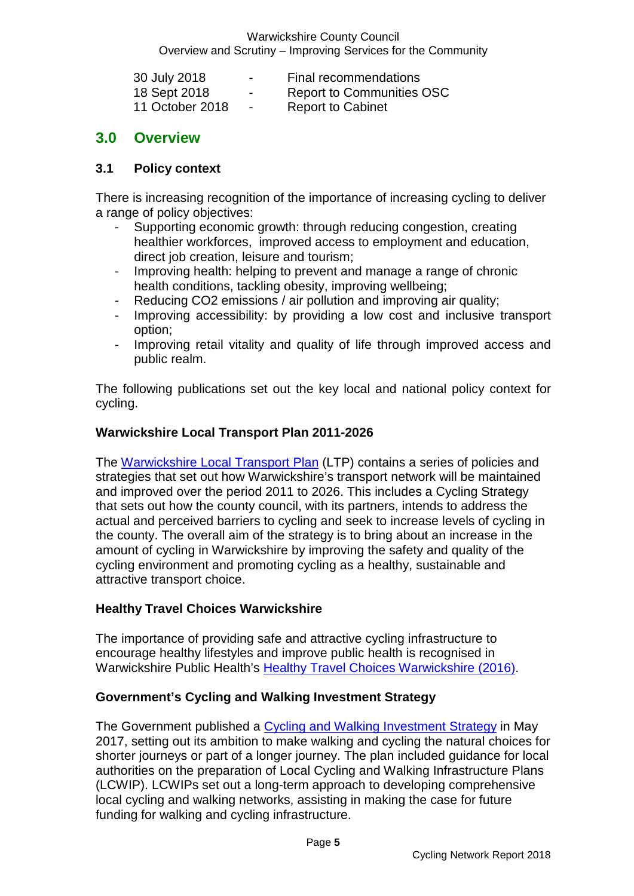Warwickshire County Council Overview and Scrutiny – Improving Services for the Community

| 30 July 2018    | $\overline{\phantom{0}}$ | Final recommendations            |
|-----------------|--------------------------|----------------------------------|
| 18 Sept 2018    | $\sim$                   | <b>Report to Communities OSC</b> |
| 11 October 2018 | $\sim$                   | <b>Report to Cabinet</b>         |

#### **3.0 Overview**

#### **3.1 Policy context**

There is increasing recognition of the importance of increasing cycling to deliver a range of policy objectives:

- Supporting economic growth: through reducing congestion, creating healthier workforces, improved access to employment and education, direct job creation, leisure and tourism;
- Improving health: helping to prevent and manage a range of chronic health conditions, tackling obesity, improving wellbeing;
- Reducing CO2 emissions / air pollution and improving air quality;
- Improving accessibility: by providing a low cost and inclusive transport option;
- Improving retail vitality and quality of life through improved access and public realm.

The following publications set out the key local and national policy context for cycling.

#### **Warwickshire Local Transport Plan 2011-2026**

The [Warwickshire Local Transport Plan](https://www.warwickshire.gov.uk/ltp3) (LTP) contains a series of policies and strategies that set out how Warwickshire's transport network will be maintained and improved over the period 2011 to 2026. This includes a Cycling Strategy that sets out how the county council, with its partners, intends to address the actual and perceived barriers to cycling and seek to increase levels of cycling in the county. The overall aim of the strategy is to bring about an increase in the amount of cycling in Warwickshire by improving the safety and quality of the cycling environment and promoting cycling as a healthy, sustainable and attractive transport choice.

#### **Healthy Travel Choices Warwickshire**

The importance of providing safe and attractive cycling infrastructure to encourage healthy lifestyles and improve public health is recognised in Warwickshire Public Health's [Healthy Travel Choices Warwickshire \(2016\).](https://apps.warwickshire.gov.uk/api/documents/WCCC-630-956)

#### **Government's Cycling and Walking Investment Strategy**

The Government published a [Cycling and Walking Investment Strategy](https://www.gov.uk/government/publications/cycling-and-walking-investment-strategy) in May 2017, setting out its ambition to make walking and cycling the natural choices for shorter journeys or part of a longer journey. The plan included guidance for local authorities on the preparation of Local Cycling and Walking Infrastructure Plans (LCWIP). LCWIPs set out a long-term approach to developing comprehensive local cycling and walking networks, assisting in making the case for future funding for walking and cycling infrastructure.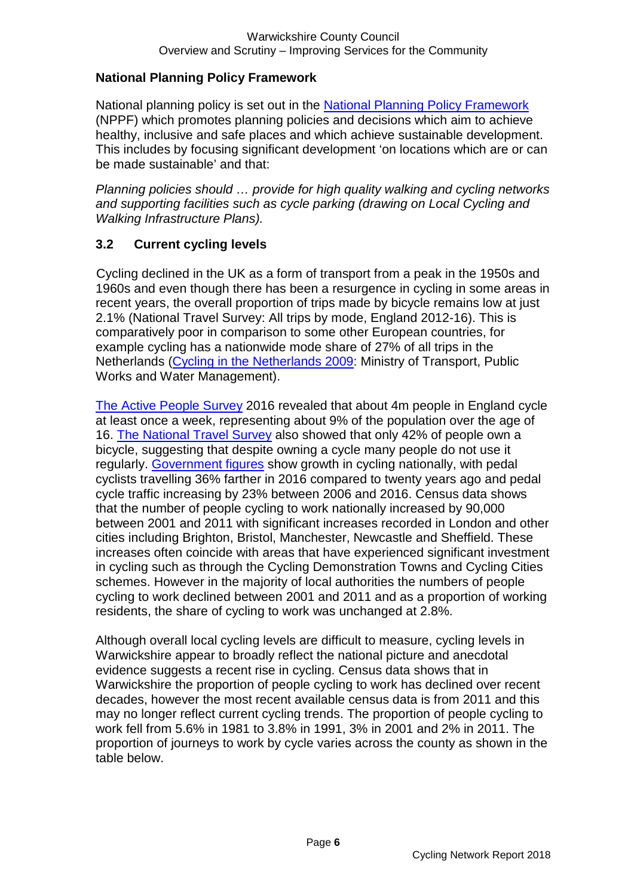#### **National Planning Policy Framework**

National planning policy is set out in the [National Planning Policy Framework](https://www.gov.uk/government/publications/national-planning-policy-framework--2) (NPPF) which promotes planning policies and decisions which aim to achieve healthy, inclusive and safe places and which achieve sustainable development. This includes by focusing significant development 'on locations which are or can be made sustainable' and that:

*Planning policies should … provide for high quality walking and cycling networks and supporting facilities such as cycle parking (drawing on Local Cycling and Walking Infrastructure Plans).*

#### **3.2 Current cycling levels**

Cycling declined in the UK as a form of transport from a peak in the 1950s and 1960s and even though there has been a resurgence in cycling in some areas in recent years, the overall proportion of trips made by bicycle remains low at just 2.1% (National Travel Survey: All trips by mode, England 2012-16). This is comparatively poor in comparison to some other European countries, for example cycling has a nationwide mode share of 27% of all trips in the Netherlands [\(Cycling in the Netherlands 2009:](http://www.fietsberaad.nl/library/repository/bestanden/CyclingintheNetherlands2009.pdf) Ministry of Transport, Public Works and Water Management).

[The Active People Survey](https://www.gov.uk/government/collections/statistics-on-public-attitudes-to-transport) 2016 revealed that about 4m people in England cycle at least once a week, representing about 9% of the population over the age of 16. [The National Travel Survey](https://www.gov.uk/government/collections/national-travel-survey-statistics) also showed that only 42% of people own a bicycle, suggesting that despite owning a cycle many people do not use it regularly. [Government figures](https://assets.publishing.service.gov.uk/government/uploads/system/uploads/attachment_data/file/674503/walking-and-cycling-statistics-england-2016.pdf) show growth in cycling nationally, with pedal cyclists travelling 36% farther in 2016 compared to twenty years ago and pedal cycle traffic increasing by 23% between 2006 and 2016. Census data shows that the number of people cycling to work nationally increased by 90,000 between 2001 and 2011 with significant increases recorded in London and other cities including Brighton, Bristol, Manchester, Newcastle and Sheffield. These increases often coincide with areas that have experienced significant investment in cycling such as through the Cycling Demonstration Towns and Cycling Cities schemes. However in the majority of local authorities the numbers of people cycling to work declined between 2001 and 2011 and as a proportion of working residents, the share of cycling to work was unchanged at 2.8%.

Although overall local cycling levels are difficult to measure, cycling levels in Warwickshire appear to broadly reflect the national picture and anecdotal evidence suggests a recent rise in cycling. Census data shows that in Warwickshire the proportion of people cycling to work has declined over recent decades, however the most recent available census data is from 2011 and this may no longer reflect current cycling trends. The proportion of people cycling to work fell from 5.6% in 1981 to 3.8% in 1991, 3% in 2001 and 2% in 2011. The proportion of journeys to work by cycle varies across the county as shown in the table below.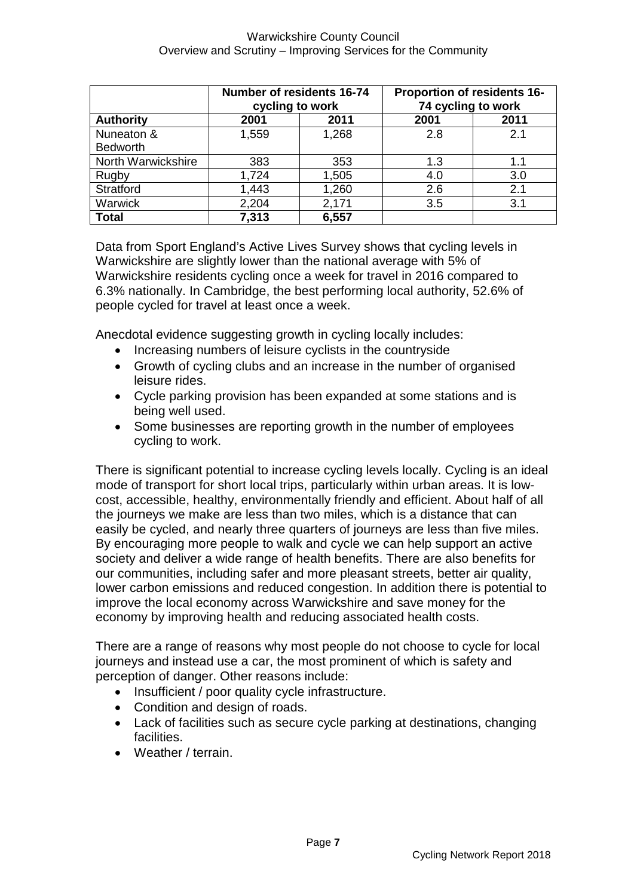|                    | Number of residents 16-74 | cycling to work | <b>Proportion of residents 16-</b><br>74 cycling to work |      |  |  |  |
|--------------------|---------------------------|-----------------|----------------------------------------------------------|------|--|--|--|
| <b>Authority</b>   | 2001                      | 2011            | 2001                                                     | 2011 |  |  |  |
| Nuneaton &         | 1,559                     | 1,268           | 2.8                                                      | 2.1  |  |  |  |
| <b>Bedworth</b>    |                           |                 |                                                          |      |  |  |  |
| North Warwickshire | 383                       | 353             | 1.3                                                      | 1.1  |  |  |  |
| Rugby              | 1,724                     | 1,505           | 4.0                                                      | 3.0  |  |  |  |
| Stratford          | 1,443                     | 1,260           | 2.6                                                      | 2.1  |  |  |  |
| Warwick            | 2,204                     | 2,171           | 3.5                                                      | 3.1  |  |  |  |
| <b>Total</b>       | 7,313                     | 6,557           |                                                          |      |  |  |  |

Data from Sport England's Active Lives Survey shows that cycling levels in Warwickshire are slightly lower than the national average with 5% of Warwickshire residents cycling once a week for travel in 2016 compared to 6.3% nationally. In Cambridge, the best performing local authority, 52.6% of people cycled for travel at least once a week.

Anecdotal evidence suggesting growth in cycling locally includes:

- Increasing numbers of leisure cyclists in the countryside
- Growth of cycling clubs and an increase in the number of organised leisure rides.
- Cycle parking provision has been expanded at some stations and is being well used.
- Some businesses are reporting growth in the number of employees cycling to work.

There is significant potential to increase cycling levels locally. Cycling is an ideal mode of transport for short local trips, particularly within urban areas. It is lowcost, accessible, healthy, environmentally friendly and efficient. About half of all the journeys we make are less than two miles, which is a distance that can easily be cycled, and nearly three quarters of journeys are less than five miles. By encouraging more people to walk and cycle we can help support an active society and deliver a wide range of health benefits. There are also benefits for our communities, including safer and more pleasant streets, better air quality, lower carbon emissions and reduced congestion. In addition there is potential to improve the local economy across Warwickshire and save money for the economy by improving health and reducing associated health costs.

There are a range of reasons why most people do not choose to cycle for local journeys and instead use a car, the most prominent of which is safety and perception of danger. Other reasons include:

- Insufficient / poor quality cycle infrastructure.
- Condition and design of roads.
- Lack of facilities such as secure cycle parking at destinations, changing facilities.
- Weather / terrain.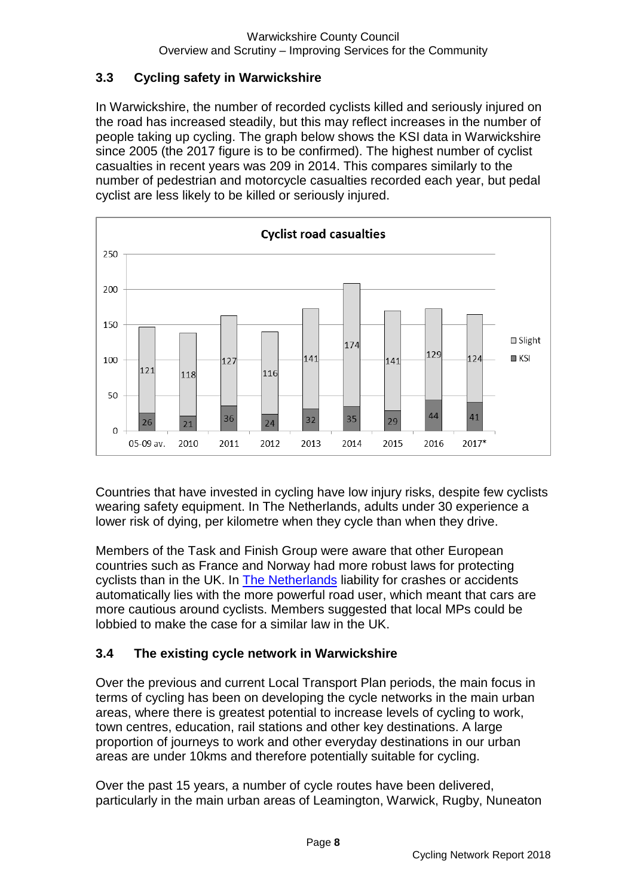#### **3.3 Cycling safety in Warwickshire**

In Warwickshire, the number of recorded cyclists killed and seriously injured on the road has increased steadily, but this may reflect increases in the number of people taking up cycling. The graph below shows the KSI data in Warwickshire since 2005 (the 2017 figure is to be confirmed). The highest number of cyclist casualties in recent years was 209 in 2014. This compares similarly to the number of pedestrian and motorcycle casualties recorded each year, but pedal cyclist are less likely to be killed or seriously injured.



Countries that have invested in cycling have low injury risks, despite few cyclists wearing safety equipment. In The Netherlands, adults under 30 experience a lower risk of dying, per kilometre when they cycle than when they drive.

Members of the Task and Finish Group were aware that other European countries such as France and Norway had more robust laws for protecting cyclists than in the UK. In [The Netherlands](http://metro.co.uk/2015/06/03/the-law-should-protect-cyclists-and-penalise-motorists-5227953/) liability for crashes or accidents automatically lies with the more powerful road user, which meant that cars are more cautious around cyclists. Members suggested that local MPs could be lobbied to make the case for a similar law in the UK.

#### **3.4 The existing cycle network in Warwickshire**

Over the previous and current Local Transport Plan periods, the main focus in terms of cycling has been on developing the cycle networks in the main urban areas, where there is greatest potential to increase levels of cycling to work, town centres, education, rail stations and other key destinations. A large proportion of journeys to work and other everyday destinations in our urban areas are under 10kms and therefore potentially suitable for cycling.

Over the past 15 years, a number of cycle routes have been delivered, particularly in the main urban areas of Leamington, Warwick, Rugby, Nuneaton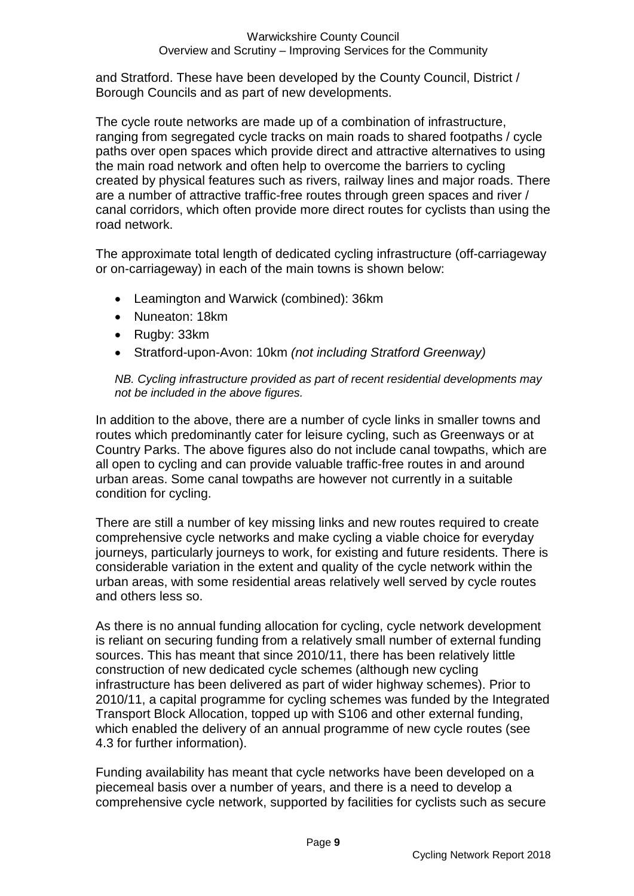and Stratford. These have been developed by the County Council, District / Borough Councils and as part of new developments.

The cycle route networks are made up of a combination of infrastructure, ranging from segregated cycle tracks on main roads to shared footpaths / cycle paths over open spaces which provide direct and attractive alternatives to using the main road network and often help to overcome the barriers to cycling created by physical features such as rivers, railway lines and major roads. There are a number of attractive traffic-free routes through green spaces and river / canal corridors, which often provide more direct routes for cyclists than using the road network.

The approximate total length of dedicated cycling infrastructure (off-carriageway or on-carriageway) in each of the main towns is shown below:

- Leamington and Warwick (combined): 36km
- Nuneaton: 18km
- Rugby: 33km
- Stratford-upon-Avon: 10km *(not including Stratford Greenway)*

#### *NB. Cycling infrastructure provided as part of recent residential developments may not be included in the above figures.*

In addition to the above, there are a number of cycle links in smaller towns and routes which predominantly cater for leisure cycling, such as Greenways or at Country Parks. The above figures also do not include canal towpaths, which are all open to cycling and can provide valuable traffic-free routes in and around urban areas. Some canal towpaths are however not currently in a suitable condition for cycling.

There are still a number of key missing links and new routes required to create comprehensive cycle networks and make cycling a viable choice for everyday journeys, particularly journeys to work, for existing and future residents. There is considerable variation in the extent and quality of the cycle network within the urban areas, with some residential areas relatively well served by cycle routes and others less so.

As there is no annual funding allocation for cycling, cycle network development is reliant on securing funding from a relatively small number of external funding sources. This has meant that since 2010/11, there has been relatively little construction of new dedicated cycle schemes (although new cycling infrastructure has been delivered as part of wider highway schemes). Prior to 2010/11, a capital programme for cycling schemes was funded by the Integrated Transport Block Allocation, topped up with S106 and other external funding, which enabled the delivery of an annual programme of new cycle routes (see 4.3 for further information).

Funding availability has meant that cycle networks have been developed on a piecemeal basis over a number of years, and there is a need to develop a comprehensive cycle network, supported by facilities for cyclists such as secure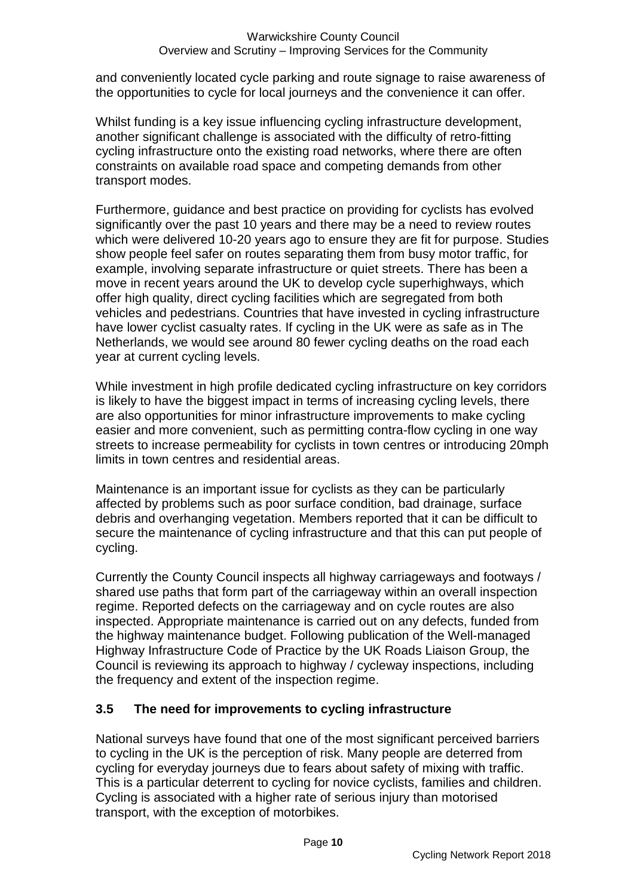and conveniently located cycle parking and route signage to raise awareness of the opportunities to cycle for local journeys and the convenience it can offer.

Whilst funding is a key issue influencing cycling infrastructure development, another significant challenge is associated with the difficulty of retro-fitting cycling infrastructure onto the existing road networks, where there are often constraints on available road space and competing demands from other transport modes.

Furthermore, guidance and best practice on providing for cyclists has evolved significantly over the past 10 years and there may be a need to review routes which were delivered 10-20 years ago to ensure they are fit for purpose. Studies show people feel safer on routes separating them from busy motor traffic, for example, involving separate infrastructure or quiet streets. There has been a move in recent years around the UK to develop cycle superhighways, which offer high quality, direct cycling facilities which are segregated from both vehicles and pedestrians. Countries that have invested in cycling infrastructure have lower cyclist casualty rates. If cycling in the UK were as safe as in The Netherlands, we would see around 80 fewer cycling deaths on the road each year at current cycling levels.

While investment in high profile dedicated cycling infrastructure on key corridors is likely to have the biggest impact in terms of increasing cycling levels, there are also opportunities for minor infrastructure improvements to make cycling easier and more convenient, such as permitting contra-flow cycling in one way streets to increase permeability for cyclists in town centres or introducing 20mph limits in town centres and residential areas.

Maintenance is an important issue for cyclists as they can be particularly affected by problems such as poor surface condition, bad drainage, surface debris and overhanging vegetation. Members reported that it can be difficult to secure the maintenance of cycling infrastructure and that this can put people of cycling.

Currently the County Council inspects all highway carriageways and footways / shared use paths that form part of the carriageway within an overall inspection regime. Reported defects on the carriageway and on cycle routes are also inspected. Appropriate maintenance is carried out on any defects, funded from the highway maintenance budget. Following publication of the Well-managed Highway Infrastructure Code of Practice by the UK Roads Liaison Group, the Council is reviewing its approach to highway / cycleway inspections, including the frequency and extent of the inspection regime.

#### **3.5 The need for improvements to cycling infrastructure**

National surveys have found that one of the most significant perceived barriers to cycling in the UK is the perception of risk. Many people are deterred from cycling for everyday journeys due to fears about safety of mixing with traffic. This is a particular deterrent to cycling for novice cyclists, families and children. Cycling is associated with a higher rate of serious injury than motorised transport, with the exception of motorbikes.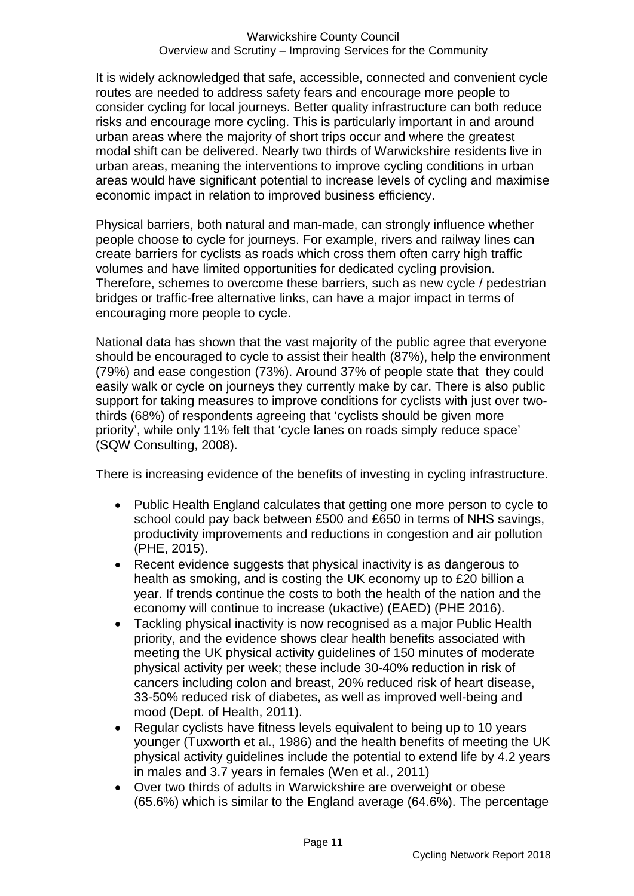It is widely acknowledged that safe, accessible, connected and convenient cycle routes are needed to address safety fears and encourage more people to consider cycling for local journeys. Better quality infrastructure can both reduce risks and encourage more cycling. This is particularly important in and around urban areas where the majority of short trips occur and where the greatest modal shift can be delivered. Nearly two thirds of Warwickshire residents live in urban areas, meaning the interventions to improve cycling conditions in urban areas would have significant potential to increase levels of cycling and maximise economic impact in relation to improved business efficiency.

Physical barriers, both natural and man-made, can strongly influence whether people choose to cycle for journeys. For example, rivers and railway lines can create barriers for cyclists as roads which cross them often carry high traffic volumes and have limited opportunities for dedicated cycling provision. Therefore, schemes to overcome these barriers, such as new cycle / pedestrian bridges or traffic-free alternative links, can have a major impact in terms of encouraging more people to cycle.

National data has shown that the vast majority of the public agree that everyone should be encouraged to cycle to assist their health (87%), help the environment (79%) and ease congestion (73%). Around 37% of people state that they could easily walk or cycle on journeys they currently make by car. There is also public support for taking measures to improve conditions for cyclists with just over twothirds (68%) of respondents agreeing that 'cyclists should be given more priority', while only 11% felt that 'cycle lanes on roads simply reduce space' (SQW Consulting, 2008).

There is increasing evidence of the benefits of investing in cycling infrastructure.

- Public Health England calculates that getting one more person to cycle to school could pay back between £500 and £650 in terms of NHS savings, productivity improvements and reductions in congestion and air pollution (PHE, 2015).
- Recent evidence suggests that physical inactivity is as dangerous to health as smoking, and is costing the UK economy up to £20 billion a year. If trends continue the costs to both the health of the nation and the economy will continue to increase (ukactive) (EAED) (PHE 2016).
- Tackling physical inactivity is now recognised as a major Public Health priority, and the evidence shows clear health benefits associated with meeting the UK physical activity guidelines of 150 minutes of moderate physical activity per week; these include 30-40% reduction in risk of cancers including colon and breast, 20% reduced risk of heart disease, 33-50% reduced risk of diabetes, as well as improved well-being and mood (Dept. of Health, 2011).
- Regular cyclists have fitness levels equivalent to being up to 10 years younger (Tuxworth et al., 1986) and the health benefits of meeting the UK physical activity guidelines include the potential to extend life by 4.2 years in males and 3.7 years in females (Wen et al., 2011)
- Over two thirds of adults in Warwickshire are overweight or obese (65.6%) which is similar to the England average (64.6%). The percentage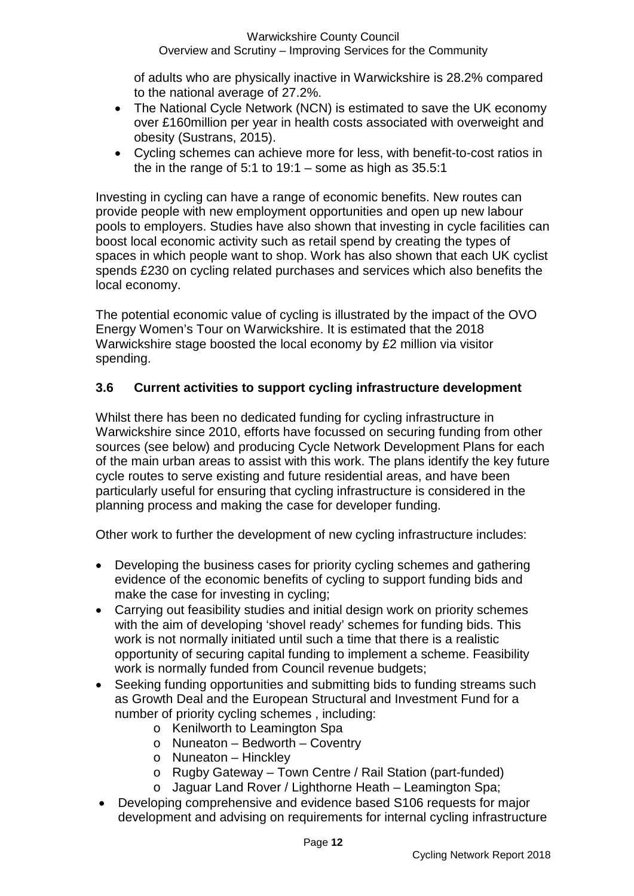#### Warwickshire County Council Overview and Scrutiny – Improving Services for the Community

of adults who are physically inactive in Warwickshire is 28.2% compared to the national average of 27.2%.

- The National Cycle Network (NCN) is estimated to save the UK economy over £160million per year in health costs associated with overweight and obesity (Sustrans, 2015).
- Cycling schemes can achieve more for less, with benefit-to-cost ratios in the in the range of 5:1 to  $19:1 -$  some as high as  $35.5:1$

Investing in cycling can have a range of economic benefits. New routes can provide people with new employment opportunities and open up new labour pools to employers. Studies have also shown that investing in cycle facilities can boost local economic activity such as retail spend by creating the types of spaces in which people want to shop. Work has also shown that each UK cyclist spends £230 on cycling related purchases and services which also benefits the local economy.

The potential economic value of cycling is illustrated by the impact of the OVO Energy Women's Tour on Warwickshire. It is estimated that the 2018 Warwickshire stage boosted the local economy by £2 million via visitor spending.

#### **3.6 Current activities to support cycling infrastructure development**

Whilst there has been no dedicated funding for cycling infrastructure in Warwickshire since 2010, efforts have focussed on securing funding from other sources (see below) and producing Cycle Network Development Plans for each of the main urban areas to assist with this work. The plans identify the key future cycle routes to serve existing and future residential areas, and have been particularly useful for ensuring that cycling infrastructure is considered in the planning process and making the case for developer funding.

Other work to further the development of new cycling infrastructure includes:

- Developing the business cases for priority cycling schemes and gathering evidence of the economic benefits of cycling to support funding bids and make the case for investing in cycling;
- Carrying out feasibility studies and initial design work on priority schemes with the aim of developing 'shovel ready' schemes for funding bids. This work is not normally initiated until such a time that there is a realistic opportunity of securing capital funding to implement a scheme. Feasibility work is normally funded from Council revenue budgets;
- Seeking funding opportunities and submitting bids to funding streams such as Growth Deal and the European Structural and Investment Fund for a number of priority cycling schemes , including:
	- o Kenilworth to Leamington Spa
	- o Nuneaton Bedworth Coventry
	- o Nuneaton Hinckley
	- o Rugby Gateway Town Centre / Rail Station (part-funded)
	- o Jaguar Land Rover / Lighthorne Heath Leamington Spa;
- Developing comprehensive and evidence based S106 requests for major development and advising on requirements for internal cycling infrastructure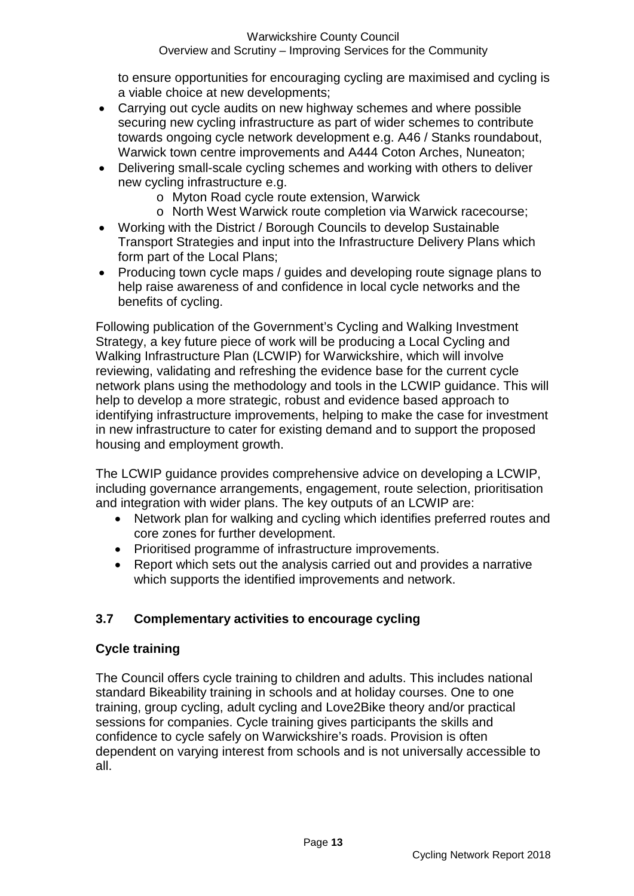to ensure opportunities for encouraging cycling are maximised and cycling is a viable choice at new developments;

- Carrying out cycle audits on new highway schemes and where possible securing new cycling infrastructure as part of wider schemes to contribute towards ongoing cycle network development e.g. A46 / Stanks roundabout, Warwick town centre improvements and A444 Coton Arches, Nuneaton;
- Delivering small-scale cycling schemes and working with others to deliver new cycling infrastructure e.g.
	- o Myton Road cycle route extension, Warwick
	- o North West Warwick route completion via Warwick racecourse;
- Working with the District / Borough Councils to develop Sustainable Transport Strategies and input into the Infrastructure Delivery Plans which form part of the Local Plans;
- Producing town cycle maps / guides and developing route signage plans to help raise awareness of and confidence in local cycle networks and the benefits of cycling.

Following publication of the Government's Cycling and Walking Investment Strategy, a key future piece of work will be producing a Local Cycling and Walking Infrastructure Plan (LCWIP) for Warwickshire, which will involve reviewing, validating and refreshing the evidence base for the current cycle network plans using the methodology and tools in the LCWIP guidance. This will help to develop a more strategic, robust and evidence based approach to identifying infrastructure improvements, helping to make the case for investment in new infrastructure to cater for existing demand and to support the proposed housing and employment growth.

The LCWIP guidance provides comprehensive advice on developing a LCWIP, including governance arrangements, engagement, route selection, prioritisation and integration with wider plans. The key outputs of an LCWIP are:

- Network plan for walking and cycling which identifies preferred routes and core zones for further development.
- Prioritised programme of infrastructure improvements.
- Report which sets out the analysis carried out and provides a narrative which supports the identified improvements and network.

#### **3.7 Complementary activities to encourage cycling**

#### **Cycle training**

The Council offers cycle training to children and adults. This includes national standard Bikeability training in schools and at holiday courses. One to one training, group cycling, adult cycling and Love2Bike theory and/or practical sessions for companies. Cycle training gives participants the skills and confidence to cycle safely on Warwickshire's roads. Provision is often dependent on varying interest from schools and is not universally accessible to all.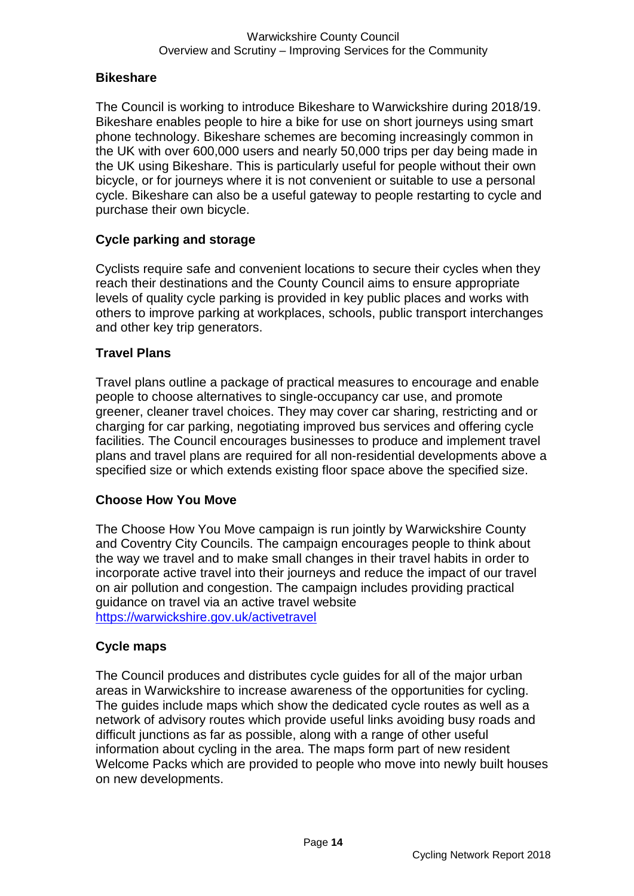#### **Bikeshare**

The Council is working to introduce Bikeshare to Warwickshire during 2018/19. Bikeshare enables people to hire a bike for use on short journeys using smart phone technology. Bikeshare schemes are becoming increasingly common in the UK with over 600,000 users and nearly 50,000 trips per day being made in the UK using Bikeshare. This is particularly useful for people without their own bicycle, or for journeys where it is not convenient or suitable to use a personal cycle. Bikeshare can also be a useful gateway to people restarting to cycle and purchase their own bicycle.

#### **Cycle parking and storage**

Cyclists require safe and convenient locations to secure their cycles when they reach their destinations and the County Council aims to ensure appropriate levels of quality cycle parking is provided in key public places and works with others to improve parking at workplaces, schools, public transport interchanges and other key trip generators.

#### **Travel Plans**

Travel plans outline a package of practical measures to encourage and enable people to choose alternatives to single-occupancy car use, and promote greener, cleaner travel choices. They may cover car sharing, restricting and or charging for car parking, negotiating improved bus services and offering cycle facilities. The Council encourages businesses to produce and implement travel plans and travel plans are required for all non-residential developments above a specified size or which extends existing floor space above the specified size.

#### **Choose How You Move**

The Choose How You Move campaign is run jointly by Warwickshire County and Coventry City Councils. The campaign encourages people to think about the way we travel and to make small changes in their travel habits in order to incorporate active travel into their journeys and reduce the impact of our travel on air pollution and congestion. The campaign includes providing practical guidance on travel via an active travel website <https://warwickshire.gov.uk/activetravel>

#### **Cycle maps**

The Council produces and distributes cycle guides for all of the major urban areas in Warwickshire to increase awareness of the opportunities for cycling. The guides include maps which show the dedicated cycle routes as well as a network of advisory routes which provide useful links avoiding busy roads and difficult junctions as far as possible, along with a range of other useful information about cycling in the area. The maps form part of new resident Welcome Packs which are provided to people who move into newly built houses on new developments.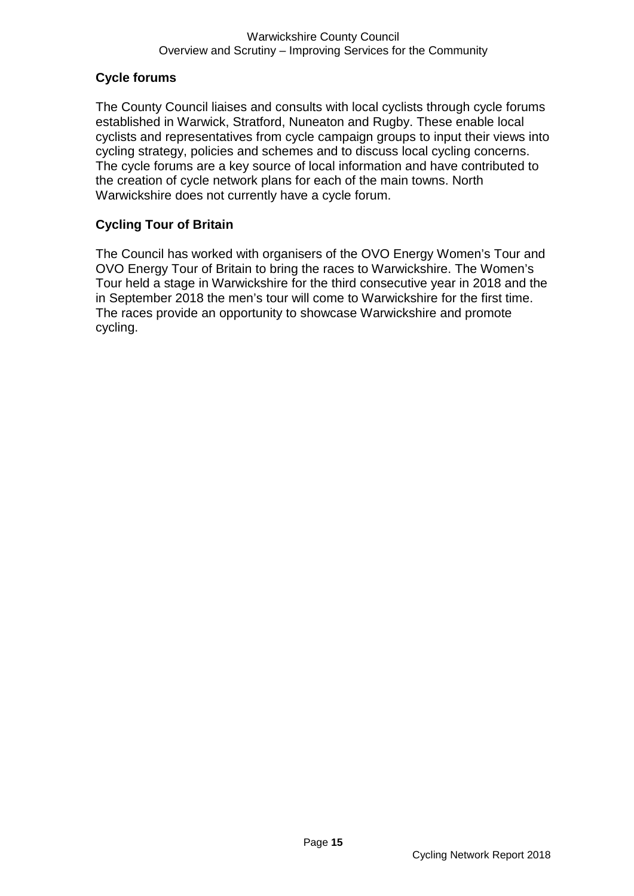#### **Cycle forums**

The County Council liaises and consults with local cyclists through cycle forums established in Warwick, Stratford, Nuneaton and Rugby. These enable local cyclists and representatives from cycle campaign groups to input their views into cycling strategy, policies and schemes and to discuss local cycling concerns. The cycle forums are a key source of local information and have contributed to the creation of cycle network plans for each of the main towns. North Warwickshire does not currently have a cycle forum.

#### **Cycling Tour of Britain**

The Council has worked with organisers of the OVO Energy Women's Tour and OVO Energy Tour of Britain to bring the races to Warwickshire. The Women's Tour held a stage in Warwickshire for the third consecutive year in 2018 and the in September 2018 the men's tour will come to Warwickshire for the first time. The races provide an opportunity to showcase Warwickshire and promote cycling.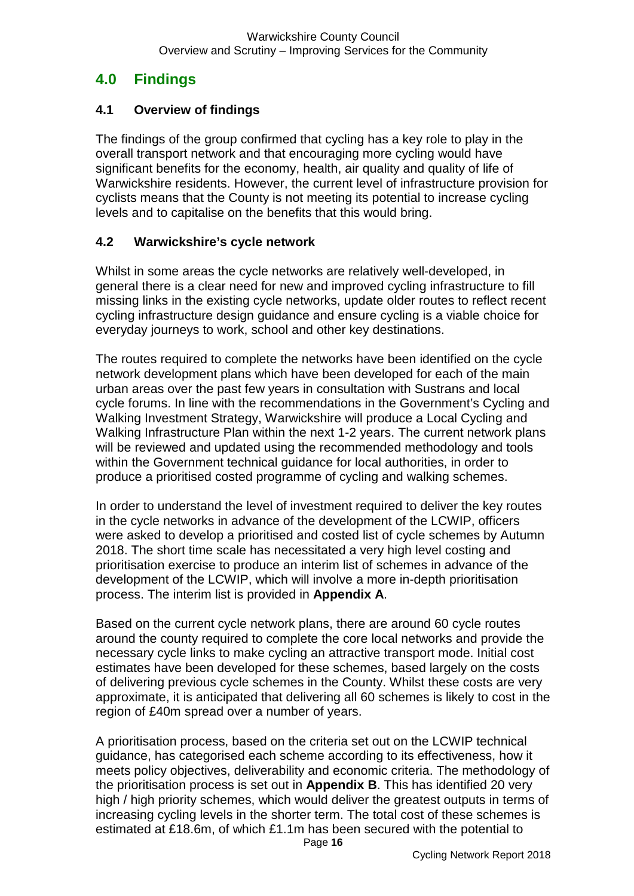# **4.0 Findings**

#### **4.1 Overview of findings**

The findings of the group confirmed that cycling has a key role to play in the overall transport network and that encouraging more cycling would have significant benefits for the economy, health, air quality and quality of life of Warwickshire residents. However, the current level of infrastructure provision for cyclists means that the County is not meeting its potential to increase cycling levels and to capitalise on the benefits that this would bring.

#### **4.2 Warwickshire's cycle network**

Whilst in some areas the cycle networks are relatively well-developed, in general there is a clear need for new and improved cycling infrastructure to fill missing links in the existing cycle networks, update older routes to reflect recent cycling infrastructure design guidance and ensure cycling is a viable choice for everyday journeys to work, school and other key destinations.

The routes required to complete the networks have been identified on the cycle network development plans which have been developed for each of the main urban areas over the past few years in consultation with Sustrans and local cycle forums. In line with the recommendations in the Government's Cycling and Walking Investment Strategy, Warwickshire will produce a Local Cycling and Walking Infrastructure Plan within the next 1-2 years. The current network plans will be reviewed and updated using the recommended methodology and tools within the Government technical guidance for local authorities, in order to produce a prioritised costed programme of cycling and walking schemes.

In order to understand the level of investment required to deliver the key routes in the cycle networks in advance of the development of the LCWIP, officers were asked to develop a prioritised and costed list of cycle schemes by Autumn 2018. The short time scale has necessitated a very high level costing and prioritisation exercise to produce an interim list of schemes in advance of the development of the LCWIP, which will involve a more in-depth prioritisation process. The interim list is provided in **Appendix A**.

Based on the current cycle network plans, there are around 60 cycle routes around the county required to complete the core local networks and provide the necessary cycle links to make cycling an attractive transport mode. Initial cost estimates have been developed for these schemes, based largely on the costs of delivering previous cycle schemes in the County. Whilst these costs are very approximate, it is anticipated that delivering all 60 schemes is likely to cost in the region of £40m spread over a number of years.

A prioritisation process, based on the criteria set out on the LCWIP technical guidance, has categorised each scheme according to its effectiveness, how it meets policy objectives, deliverability and economic criteria. The methodology of the prioritisation process is set out in **Appendix B**. This has identified 20 very high / high priority schemes, which would deliver the greatest outputs in terms of increasing cycling levels in the shorter term. The total cost of these schemes is estimated at £18.6m, of which £1.1m has been secured with the potential to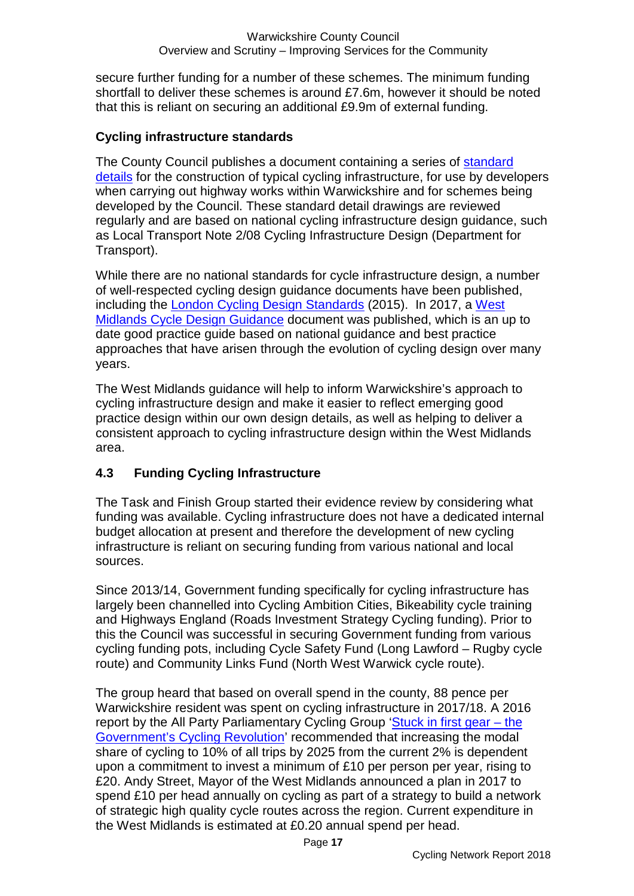secure further funding for a number of these schemes. The minimum funding shortfall to deliver these schemes is around £7.6m, however it should be noted that this is reliant on securing an additional £9.9m of external funding.

#### **Cycling infrastructure standards**

The County Council publishes a document containing a series of [standard](https://warwickshire.gov.uk/highwayconstruction)  [details](https://warwickshire.gov.uk/highwayconstruction) for the construction of typical cycling infrastructure, for use by developers when carrying out highway works within Warwickshire and for schemes being developed by the Council. These standard detail drawings are reviewed regularly and are based on national cycling infrastructure design guidance, such as Local Transport Note 2/08 Cycling Infrastructure Design (Department for Transport).

While there are no national standards for cycle infrastructure design, a number of well-respected cycling design guidance documents have been published, including the [London Cycling Design Standards](https://tfl.gov.uk/corporate/publications-and-reports/streets-toolkit#on-this-page-2) (2015). In 2017, a West [Midlands Cycle Design Guidance](https://www.tfwm.org.uk/media/2713/west-midlands-cycling-design-guidance.pdf) document was published, which is an up to date good practice guide based on national guidance and best practice approaches that have arisen through the evolution of cycling design over many years.

The West Midlands guidance will help to inform Warwickshire's approach to cycling infrastructure design and make it easier to reflect emerging good practice design within our own design details, as well as helping to deliver a consistent approach to cycling infrastructure design within the West Midlands area.

#### **4.3 Funding Cycling Infrastructure**

The Task and Finish Group started their evidence review by considering what funding was available. Cycling infrastructure does not have a dedicated internal budget allocation at present and therefore the development of new cycling infrastructure is reliant on securing funding from various national and local sources.

Since 2013/14, Government funding specifically for cycling infrastructure has largely been channelled into Cycling Ambition Cities, Bikeability cycle training and Highways England (Roads Investment Strategy Cycling funding). Prior to this the Council was successful in securing Government funding from various cycling funding pots, including Cycle Safety Fund (Long Lawford – Rugby cycle route) and Community Links Fund (North West Warwick cycle route).

The group heard that based on overall spend in the county, 88 pence per Warwickshire resident was spent on cycling infrastructure in 2017/18. A 2016 report by the All Party Parliamentary Cycling Group 'Stuck in first gear - the [Government's Cycling Revolution'](https://allpartycycling.files.wordpress.com/2016/06/appcg-inquiry-stuck-in-first-gear-the-governments-cycling-revolution1.pdf) recommended that increasing the modal share of cycling to 10% of all trips by 2025 from the current 2% is dependent upon a commitment to invest a minimum of £10 per person per year, rising to £20. Andy Street, Mayor of the West Midlands announced a plan in 2017 to spend £10 per head annually on cycling as part of a strategy to build a network of strategic high quality cycle routes across the region. Current expenditure in the West Midlands is estimated at £0.20 annual spend per head.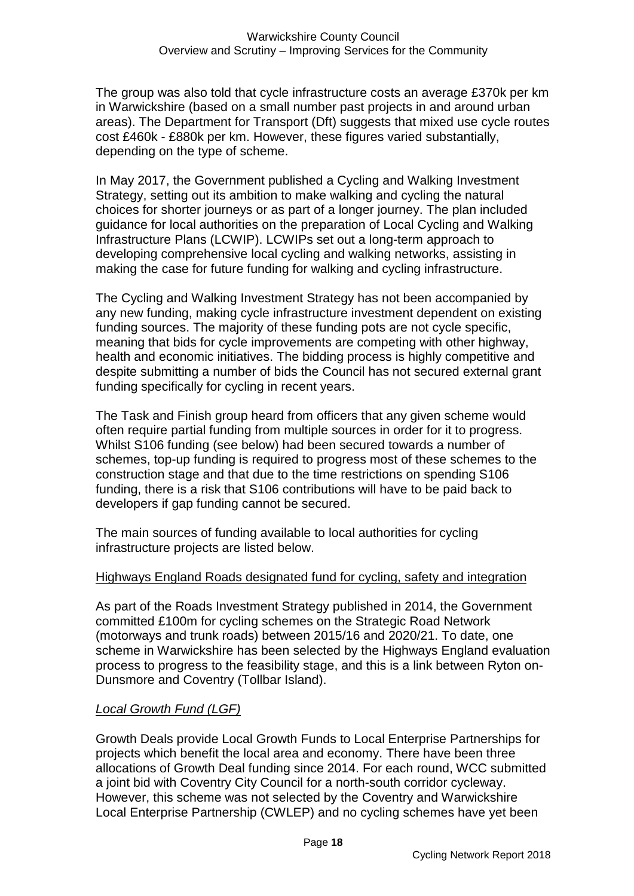The group was also told that cycle infrastructure costs an average £370k per km in Warwickshire (based on a small number past projects in and around urban areas). The Department for Transport (Dft) suggests that mixed use cycle routes cost £460k - £880k per km. However, these figures varied substantially, depending on the type of scheme.

In May 2017, the Government published a Cycling and Walking Investment Strategy, setting out its ambition to make walking and cycling the natural choices for shorter journeys or as part of a longer journey. The plan included guidance for local authorities on the preparation of Local Cycling and Walking Infrastructure Plans (LCWIP). LCWIPs set out a long-term approach to developing comprehensive local cycling and walking networks, assisting in making the case for future funding for walking and cycling infrastructure.

The Cycling and Walking Investment Strategy has not been accompanied by any new funding, making cycle infrastructure investment dependent on existing funding sources. The majority of these funding pots are not cycle specific, meaning that bids for cycle improvements are competing with other highway, health and economic initiatives. The bidding process is highly competitive and despite submitting a number of bids the Council has not secured external grant funding specifically for cycling in recent years.

The Task and Finish group heard from officers that any given scheme would often require partial funding from multiple sources in order for it to progress. Whilst S106 funding (see below) had been secured towards a number of schemes, top-up funding is required to progress most of these schemes to the construction stage and that due to the time restrictions on spending S106 funding, there is a risk that S106 contributions will have to be paid back to developers if gap funding cannot be secured.

The main sources of funding available to local authorities for cycling infrastructure projects are listed below.

#### Highways England Roads designated fund for cycling, safety and integration

As part of the Roads Investment Strategy published in 2014, the Government committed £100m for cycling schemes on the Strategic Road Network (motorways and trunk roads) between 2015/16 and 2020/21. To date, one scheme in Warwickshire has been selected by the Highways England evaluation process to progress to the feasibility stage, and this is a link between Ryton on-Dunsmore and Coventry (Tollbar Island).

#### *Local Growth Fund (LGF)*

Growth Deals provide Local Growth Funds to Local Enterprise Partnerships for projects which benefit the local area and economy. There have been three allocations of Growth Deal funding since 2014. For each round, WCC submitted a joint bid with Coventry City Council for a north-south corridor cycleway. However, this scheme was not selected by the Coventry and Warwickshire Local Enterprise Partnership (CWLEP) and no cycling schemes have yet been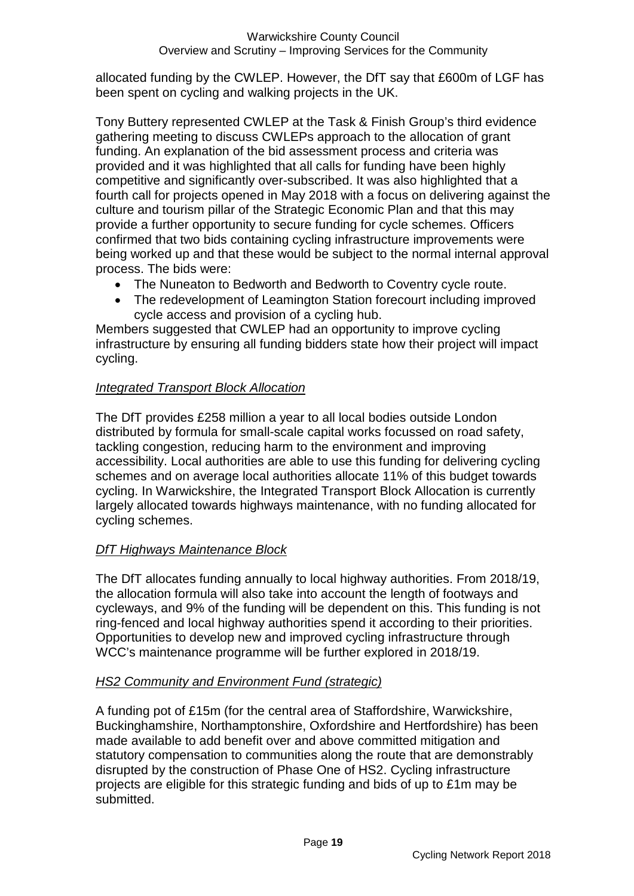allocated funding by the CWLEP. However, the DfT say that £600m of LGF has been spent on cycling and walking projects in the UK.

Tony Buttery represented CWLEP at the Task & Finish Group's third evidence gathering meeting to discuss CWLEPs approach to the allocation of grant funding. An explanation of the bid assessment process and criteria was provided and it was highlighted that all calls for funding have been highly competitive and significantly over-subscribed. It was also highlighted that a fourth call for projects opened in May 2018 with a focus on delivering against the culture and tourism pillar of the Strategic Economic Plan and that this may provide a further opportunity to secure funding for cycle schemes. Officers confirmed that two bids containing cycling infrastructure improvements were being worked up and that these would be subject to the normal internal approval process. The bids were:

- The Nuneaton to Bedworth and Bedworth to Coventry cycle route.
- The redevelopment of Leamington Station forecourt including improved cycle access and provision of a cycling hub.

Members suggested that CWLEP had an opportunity to improve cycling infrastructure by ensuring all funding bidders state how their project will impact cycling.

#### *Integrated Transport Block Allocation*

The DfT provides £258 million a year to all local bodies outside London distributed by formula for small-scale capital works focussed on road safety, tackling congestion, reducing harm to the environment and improving accessibility. Local authorities are able to use this funding for delivering cycling schemes and on average local authorities allocate 11% of this budget towards cycling. In Warwickshire, the Integrated Transport Block Allocation is currently largely allocated towards highways maintenance, with no funding allocated for cycling schemes.

#### *DfT Highways Maintenance Block*

The DfT allocates funding annually to local highway authorities. From 2018/19, the allocation formula will also take into account the length of footways and cycleways, and 9% of the funding will be dependent on this. This funding is not ring-fenced and local highway authorities spend it according to their priorities. Opportunities to develop new and improved cycling infrastructure through WCC's maintenance programme will be further explored in 2018/19.

#### *HS2 Community and Environment Fund (strategic)*

A funding pot of £15m (for the central area of Staffordshire, Warwickshire, Buckinghamshire, Northamptonshire, Oxfordshire and Hertfordshire) has been made available to add benefit over and above committed mitigation and statutory compensation to communities along the route that are demonstrably disrupted by the construction of Phase One of HS2. Cycling infrastructure projects are eligible for this strategic funding and bids of up to £1m may be submitted.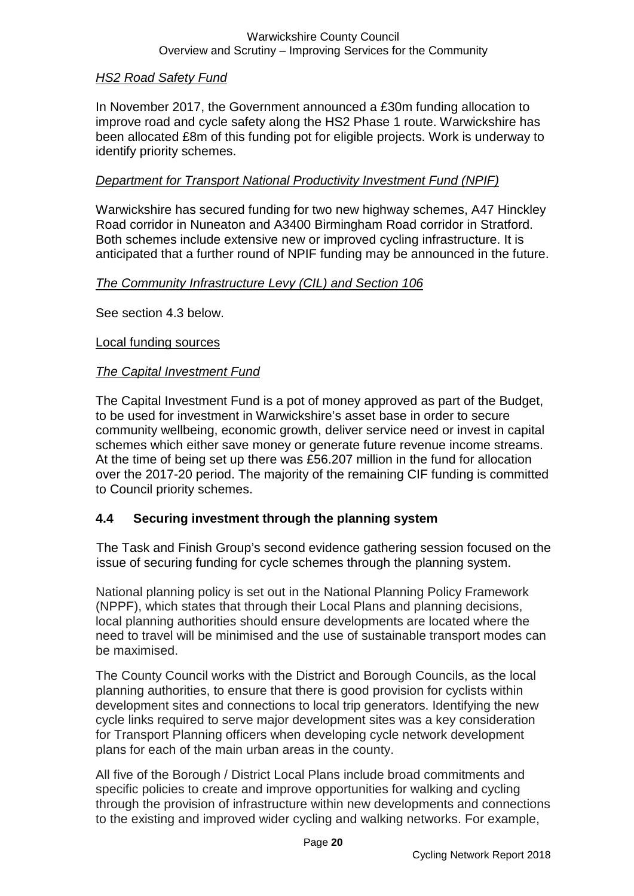#### Warwickshire County Council Overview and Scrutiny – Improving Services for the Community

#### *HS2 Road Safety Fund*

In November 2017, the Government announced a £30m funding allocation to improve road and cycle safety along the HS2 Phase 1 route. Warwickshire has been allocated £8m of this funding pot for eligible projects. Work is underway to identify priority schemes.

#### *Department for Transport National Productivity Investment Fund (NPIF)*

Warwickshire has secured funding for two new highway schemes, A47 Hinckley Road corridor in Nuneaton and A3400 Birmingham Road corridor in Stratford. Both schemes include extensive new or improved cycling infrastructure. It is anticipated that a further round of NPIF funding may be announced in the future.

#### *The Community Infrastructure Levy (CIL) and Section 106*

See section 4.3 below.

#### Local funding sources

#### *The Capital Investment Fund*

The Capital Investment Fund is a pot of money approved as part of the Budget, to be used for investment in Warwickshire's asset base in order to secure community wellbeing, economic growth, deliver service need or invest in capital schemes which either save money or generate future revenue income streams. At the time of being set up there was £56.207 million in the fund for allocation over the 2017-20 period. The majority of the remaining CIF funding is committed to Council priority schemes.

#### **4.4 Securing investment through the planning system**

The Task and Finish Group's second evidence gathering session focused on the issue of securing funding for cycle schemes through the planning system.

National planning policy is set out in the National Planning Policy Framework (NPPF), which states that through their Local Plans and planning decisions, local planning authorities should ensure developments are located where the need to travel will be minimised and the use of sustainable transport modes can be maximised.

The County Council works with the District and Borough Councils, as the local planning authorities, to ensure that there is good provision for cyclists within development sites and connections to local trip generators. Identifying the new cycle links required to serve major development sites was a key consideration for Transport Planning officers when developing cycle network development plans for each of the main urban areas in the county.

All five of the Borough / District Local Plans include broad commitments and specific policies to create and improve opportunities for walking and cycling through the provision of infrastructure within new developments and connections to the existing and improved wider cycling and walking networks. For example,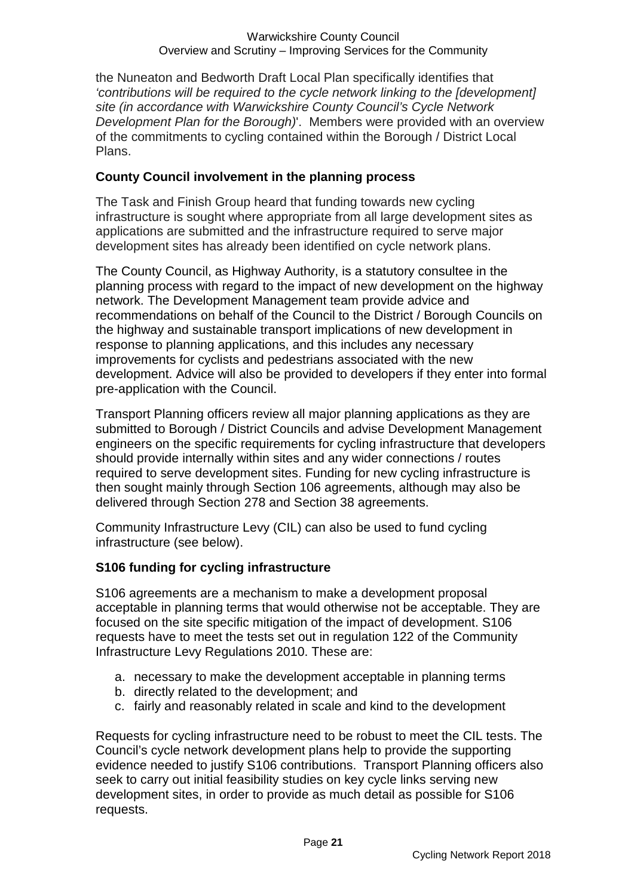the Nuneaton and Bedworth Draft Local Plan specifically identifies that *'contributions will be required to the cycle network linking to the [development] site (in accordance with Warwickshire County Council's Cycle Network Development Plan for the Borough)*'. Members were provided with an overview of the commitments to cycling contained within the Borough / District Local Plans.

#### **County Council involvement in the planning process**

The Task and Finish Group heard that funding towards new cycling infrastructure is sought where appropriate from all large development sites as applications are submitted and the infrastructure required to serve major development sites has already been identified on cycle network plans.

The County Council, as Highway Authority, is a statutory consultee in the planning process with regard to the impact of new development on the highway network. The Development Management team provide advice and recommendations on behalf of the Council to the District / Borough Councils on the highway and sustainable transport implications of new development in response to planning applications, and this includes any necessary improvements for cyclists and pedestrians associated with the new development. Advice will also be provided to developers if they enter into formal pre-application with the Council.

Transport Planning officers review all major planning applications as they are submitted to Borough / District Councils and advise Development Management engineers on the specific requirements for cycling infrastructure that developers should provide internally within sites and any wider connections / routes required to serve development sites. Funding for new cycling infrastructure is then sought mainly through Section 106 agreements, although may also be delivered through Section 278 and Section 38 agreements.

Community Infrastructure Levy (CIL) can also be used to fund cycling infrastructure (see below).

#### **S106 funding for cycling infrastructure**

S106 agreements are a mechanism to make a development proposal acceptable in planning terms that would otherwise not be acceptable. They are focused on the site specific mitigation of the impact of development. S106 requests have to meet the tests set out in regulation 122 of the Community Infrastructure Levy Regulations 2010. These are:

- a. necessary to make the development acceptable in planning terms
- b. directly related to the development; and
- c. fairly and reasonably related in scale and kind to the development

Requests for cycling infrastructure need to be robust to meet the CIL tests. The Council's cycle network development plans help to provide the supporting evidence needed to justify S106 contributions. Transport Planning officers also seek to carry out initial feasibility studies on key cycle links serving new development sites, in order to provide as much detail as possible for S106 requests.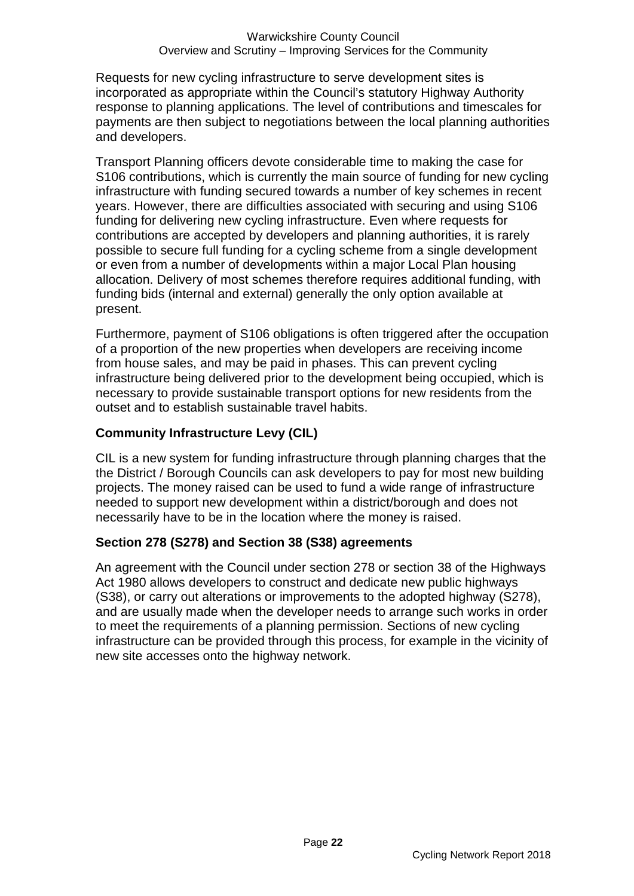Requests for new cycling infrastructure to serve development sites is incorporated as appropriate within the Council's statutory Highway Authority response to planning applications. The level of contributions and timescales for payments are then subject to negotiations between the local planning authorities and developers.

Transport Planning officers devote considerable time to making the case for S106 contributions, which is currently the main source of funding for new cycling infrastructure with funding secured towards a number of key schemes in recent years. However, there are difficulties associated with securing and using S106 funding for delivering new cycling infrastructure. Even where requests for contributions are accepted by developers and planning authorities, it is rarely possible to secure full funding for a cycling scheme from a single development or even from a number of developments within a major Local Plan housing allocation. Delivery of most schemes therefore requires additional funding, with funding bids (internal and external) generally the only option available at present.

Furthermore, payment of S106 obligations is often triggered after the occupation of a proportion of the new properties when developers are receiving income from house sales, and may be paid in phases. This can prevent cycling infrastructure being delivered prior to the development being occupied, which is necessary to provide sustainable transport options for new residents from the outset and to establish sustainable travel habits.

#### **Community Infrastructure Levy (CIL)**

CIL is a new system for funding infrastructure through planning charges that the the District / Borough Councils can ask developers to pay for most new building projects. The money raised can be used to fund a wide range of infrastructure needed to support new development within a district/borough and does not necessarily have to be in the location where the money is raised.

#### **Section 278 (S278) and Section 38 (S38) agreements**

An agreement with the Council under section 278 or section 38 of the Highways Act 1980 allows developers to construct and dedicate new public highways (S38), or carry out alterations or improvements to the adopted highway (S278), and are usually made when the developer needs to arrange such works in order to meet the requirements of a planning permission. Sections of new cycling infrastructure can be provided through this process, for example in the vicinity of new site accesses onto the highway network.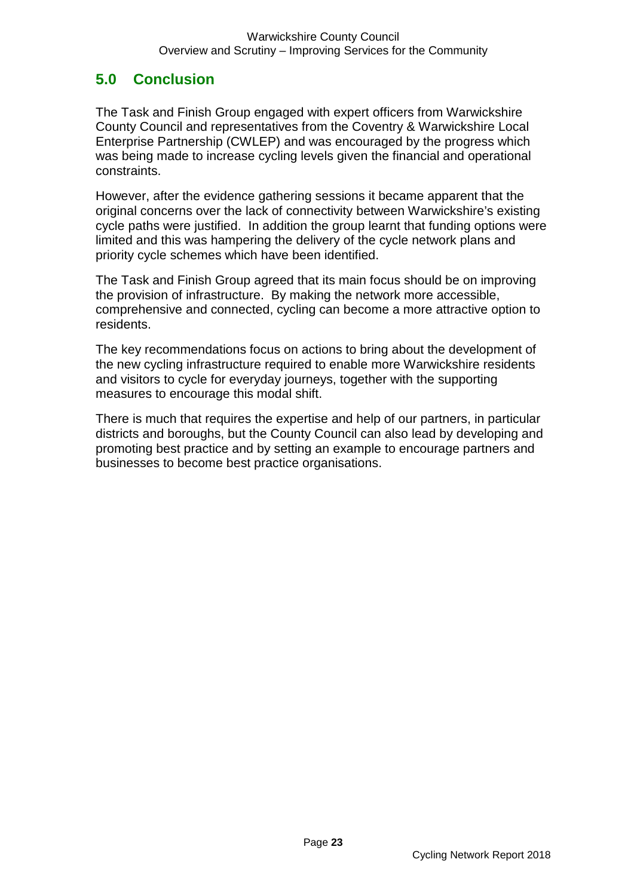# **5.0 Conclusion**

The Task and Finish Group engaged with expert officers from Warwickshire County Council and representatives from the Coventry & Warwickshire Local Enterprise Partnership (CWLEP) and was encouraged by the progress which was being made to increase cycling levels given the financial and operational constraints.

However, after the evidence gathering sessions it became apparent that the original concerns over the lack of connectivity between Warwickshire's existing cycle paths were justified. In addition the group learnt that funding options were limited and this was hampering the delivery of the cycle network plans and priority cycle schemes which have been identified.

The Task and Finish Group agreed that its main focus should be on improving the provision of infrastructure. By making the network more accessible, comprehensive and connected, cycling can become a more attractive option to residents.

The key recommendations focus on actions to bring about the development of the new cycling infrastructure required to enable more Warwickshire residents and visitors to cycle for everyday journeys, together with the supporting measures to encourage this modal shift.

There is much that requires the expertise and help of our partners, in particular districts and boroughs, but the County Council can also lead by developing and promoting best practice and by setting an example to encourage partners and businesses to become best practice organisations.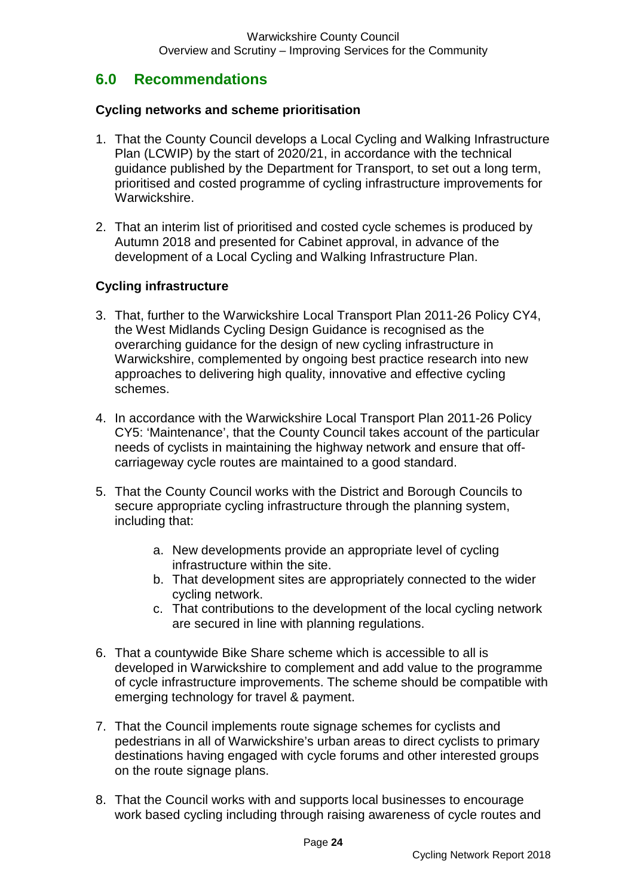### **6.0 Recommendations**

#### **Cycling networks and scheme prioritisation**

- 1. That the County Council develops a Local Cycling and Walking Infrastructure Plan (LCWIP) by the start of 2020/21, in accordance with the technical guidance published by the Department for Transport, to set out a long term, prioritised and costed programme of cycling infrastructure improvements for Warwickshire.
- 2. That an interim list of prioritised and costed cycle schemes is produced by Autumn 2018 and presented for Cabinet approval, in advance of the development of a Local Cycling and Walking Infrastructure Plan.

#### **Cycling infrastructure**

- 3. That, further to the Warwickshire Local Transport Plan 2011-26 Policy CY4, the West Midlands Cycling Design Guidance is recognised as the overarching guidance for the design of new cycling infrastructure in Warwickshire, complemented by ongoing best practice research into new approaches to delivering high quality, innovative and effective cycling schemes.
- 4. In accordance with the Warwickshire Local Transport Plan 2011-26 Policy CY5: 'Maintenance', that the County Council takes account of the particular needs of cyclists in maintaining the highway network and ensure that offcarriageway cycle routes are maintained to a good standard.
- 5. That the County Council works with the District and Borough Councils to secure appropriate cycling infrastructure through the planning system, including that:
	- a. New developments provide an appropriate level of cycling infrastructure within the site.
	- b. That development sites are appropriately connected to the wider cycling network.
	- c. That contributions to the development of the local cycling network are secured in line with planning regulations.
- 6. That a countywide Bike Share scheme which is accessible to all is developed in Warwickshire to complement and add value to the programme of cycle infrastructure improvements. The scheme should be compatible with emerging technology for travel & payment.
- 7. That the Council implements route signage schemes for cyclists and pedestrians in all of Warwickshire's urban areas to direct cyclists to primary destinations having engaged with cycle forums and other interested groups on the route signage plans.
- 8. That the Council works with and supports local businesses to encourage work based cycling including through raising awareness of cycle routes and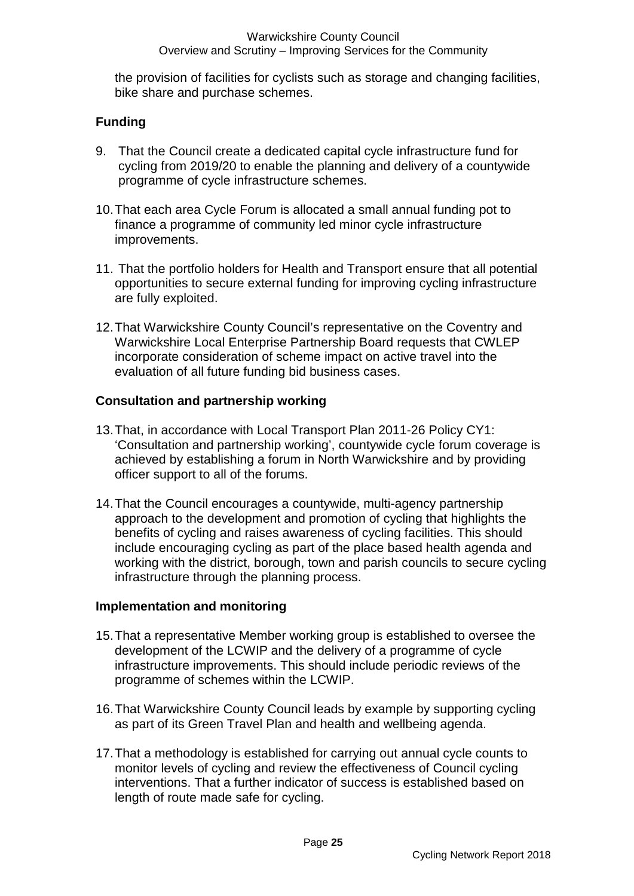the provision of facilities for cyclists such as storage and changing facilities, bike share and purchase schemes.

#### **Funding**

- 9. That the Council create a dedicated capital cycle infrastructure fund for cycling from 2019/20 to enable the planning and delivery of a countywide programme of cycle infrastructure schemes.
- 10.That each area Cycle Forum is allocated a small annual funding pot to finance a programme of community led minor cycle infrastructure improvements.
- 11. That the portfolio holders for Health and Transport ensure that all potential opportunities to secure external funding for improving cycling infrastructure are fully exploited.
- 12.That Warwickshire County Council's representative on the Coventry and Warwickshire Local Enterprise Partnership Board requests that CWLEP incorporate consideration of scheme impact on active travel into the evaluation of all future funding bid business cases.

#### **Consultation and partnership working**

- 13.That, in accordance with Local Transport Plan 2011-26 Policy CY1: 'Consultation and partnership working', countywide cycle forum coverage is achieved by establishing a forum in North Warwickshire and by providing officer support to all of the forums.
- 14.That the Council encourages a countywide, multi-agency partnership approach to the development and promotion of cycling that highlights the benefits of cycling and raises awareness of cycling facilities. This should include encouraging cycling as part of the place based health agenda and working with the district, borough, town and parish councils to secure cycling infrastructure through the planning process.

#### **Implementation and monitoring**

- 15.That a representative Member working group is established to oversee the development of the LCWIP and the delivery of a programme of cycle infrastructure improvements. This should include periodic reviews of the programme of schemes within the LCWIP.
- 16.That Warwickshire County Council leads by example by supporting cycling as part of its Green Travel Plan and health and wellbeing agenda.
- 17.That a methodology is established for carrying out annual cycle counts to monitor levels of cycling and review the effectiveness of Council cycling interventions. That a further indicator of success is established based on length of route made safe for cycling.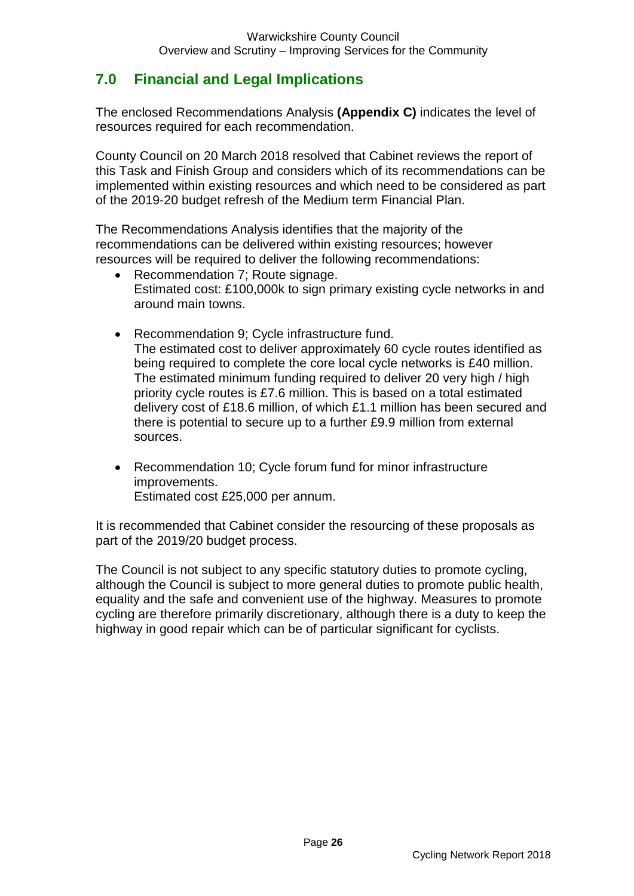# **7.0 Financial and Legal Implications**

The enclosed Recommendations Analysis **(Appendix C)** indicates the level of resources required for each recommendation.

County Council on 20 March 2018 resolved that Cabinet reviews the report of this Task and Finish Group and considers which of its recommendations can be implemented within existing resources and which need to be considered as part of the 2019-20 budget refresh of the Medium term Financial Plan.

The Recommendations Analysis identifies that the majority of the recommendations can be delivered within existing resources; however resources will be required to deliver the following recommendations:

- Recommendation 7: Route signage. Estimated cost: £100,000k to sign primary existing cycle networks in and around main towns.
- Recommendation 9; Cycle infrastructure fund. The estimated cost to deliver approximately 60 cycle routes identified as being required to complete the core local cycle networks is £40 million. The estimated minimum funding required to deliver 20 very high / high priority cycle routes is £7.6 million. This is based on a total estimated delivery cost of £18.6 million, of which £1.1 million has been secured and there is potential to secure up to a further £9.9 million from external sources.
- Recommendation 10; Cycle forum fund for minor infrastructure improvements. Estimated cost £25,000 per annum.

It is recommended that Cabinet consider the resourcing of these proposals as part of the 2019/20 budget process.

The Council is not subject to any specific statutory duties to promote cycling, although the Council is subject to more general duties to promote public health, equality and the safe and convenient use of the highway. Measures to promote cycling are therefore primarily discretionary, although there is a duty to keep the highway in good repair which can be of particular significant for cyclists.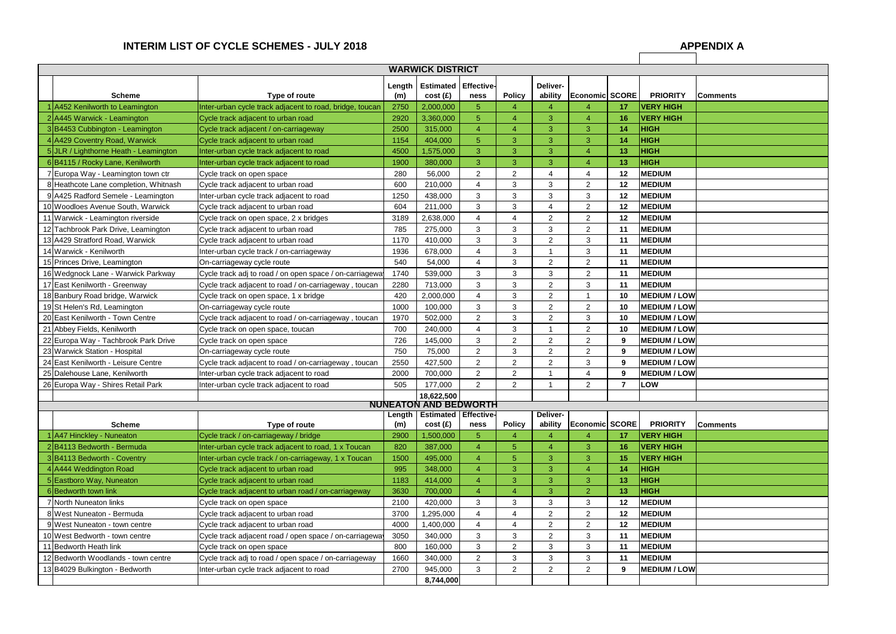# INTERIM LIST OF CYCLE SCHEMES - JULY 2018

| <b>WARWICK DISTRICT</b> |                                       |                                                          |               |                              |                    |                |                     |                       |    |                     |                 |
|-------------------------|---------------------------------------|----------------------------------------------------------|---------------|------------------------------|--------------------|----------------|---------------------|-----------------------|----|---------------------|-----------------|
|                         | <b>Scheme</b>                         | Type of route                                            | Length<br>(m) | <b>Estimated</b><br>cost(f)  | Effective-<br>ness | <b>Policy</b>  | Deliver-<br>ability | <b>Economic SCORE</b> |    | <b>PRIORITY</b>     | Comments        |
|                         | A452 Kenilworth to Leamington         | Inter-urban cycle track adjacent to road, bridge, toucan | 2750          | 2,000,000                    | 5                  | $\overline{4}$ | 4                   | Δ                     | 17 | <b>VERY HIGH</b>    |                 |
|                         | A445 Warwick - Leamington             | Cycle track adjacent to urban road                       | 2920          | 3,360,000                    | 5                  | $\overline{4}$ | 3                   | 4                     | 16 | <b>VERY HIGH</b>    |                 |
|                         | 3B4453 Cubbington - Leamington        | Cycle track adjacent / on-carriageway                    | 2500          | 315,000                      | 4                  | $\overline{A}$ | 3                   | 3                     | 14 | <b>HIGH</b>         |                 |
|                         | A429 Coventry Road, Warwick           | Cycle track adjacent to urban road                       | 1154          | 404,000                      | 5                  | 3              | 3                   | 3                     | 14 | <b>HIGH</b>         |                 |
|                         | 5JLR / Lighthorne Heath - Leamington  | Inter-urban cycle track adjacent to road                 | 4500          | 1,575,000                    | 3                  | 3              | 3                   | 4                     | 13 | <b>HIGH</b>         |                 |
|                         | 6B4115 / Rocky Lane, Kenilworth       | Inter-urban cycle track adjacent to road                 | 1900          | 380,000                      | 3                  | 3              | 3                   | 4                     | 13 | <b>HIGH</b>         |                 |
|                         | 7 Europa Way - Leamington town ctr    | Cycle track on open space                                | 280           | 56,000                       | $\overline{2}$     | $\overline{2}$ | 4                   | 4                     | 12 | <b>MEDIUM</b>       |                 |
|                         | 8 Heathcote Lane completion, Whitnash | Cycle track adjacent to urban road                       | 600           | 210,000                      | $\overline{4}$     | 3              | 3                   | $\overline{2}$        | 12 | <b>MEDIUM</b>       |                 |
|                         | 9 A425 Radford Semele - Leamington    | Inter-urban cycle track adjacent to road                 | 1250          | 438,000                      | 3                  | 3              | 3                   | 3                     | 12 | <b>MEDIUM</b>       |                 |
|                         | 10 Woodloes Avenue South, Warwick     | Cycle track adjacent to urban road                       | 604           | 211,000                      | 3                  | 3              | 4                   | $\overline{2}$        | 12 | <b>MEDIUM</b>       |                 |
|                         | 11 Warwick - Leamington riverside     | Cycle track on open space, 2 x bridges                   | 3189          | 2,638,000                    | 4                  | 4              | $\overline{2}$      | $\overline{2}$        | 12 | <b>MEDIUM</b>       |                 |
|                         | 12 Tachbrook Park Drive, Leamington   | Cycle track adjacent to urban road                       | 785           | 275,000                      | 3                  | 3              | 3                   | $\overline{2}$        | 11 | <b>MEDIUM</b>       |                 |
|                         | 13 A429 Stratford Road, Warwick       | Cycle track adjacent to urban road                       | 1170          | 410,000                      | 3                  | 3              | $\overline{2}$      | 3                     | 11 | <b>MEDIUM</b>       |                 |
|                         | 14 Warwick - Kenilworth               | Inter-urban cycle track / on-carriageway                 | 1936          | 678,000                      | 4                  | 3              |                     | 3                     | 11 | <b>MEDIUM</b>       |                 |
|                         | 15 Princes Drive, Leamington          | On-carriageway cycle route                               | 540           | 54,000                       | 4                  | 3              | $\overline{2}$      | $\overline{2}$        | 11 | <b>MEDIUM</b>       |                 |
|                         | 16 Wedgnock Lane - Warwick Parkway    | Cycle track adj to road / on open space / on-carriagewa  | 1740          | 539,000                      | 3                  | 3              | 3                   | $\overline{2}$        | 11 | <b>MEDIUM</b>       |                 |
|                         | 17 East Kenilworth - Greenway         | Cycle track adjacent to road / on-carriageway, toucan    | 2280          | 713,000                      | 3                  | 3              | $\overline{2}$      | 3                     | 11 | <b>MEDIUM</b>       |                 |
|                         | 18 Banbury Road bridge, Warwick       | Cycle track on open space, 1 x bridge                    | 420           | 2,000,000                    | 4                  | 3              | $\overline{2}$      |                       | 10 | <b>MEDIUM / LOW</b> |                 |
|                         | 19 St Helen's Rd, Leamington          | On-carriageway cycle route                               | 1000          | 100,000                      | 3                  | 3              | $\overline{2}$      | $\overline{2}$        | 10 | <b>MEDIUM / LOW</b> |                 |
|                         | 20 East Kenilworth - Town Centre      | Cycle track adjacent to road / on-carriageway, toucan    | 1970          | 502,000                      | $\overline{2}$     | 3              | $\overline{2}$      | 3                     | 10 | <b>MEDIUM / LOW</b> |                 |
|                         | 21 Abbey Fields, Kenilworth           | Cycle track on open space, toucan                        | 700           | 240,000                      | $\overline{4}$     | 3              |                     | $\overline{2}$        | 10 | <b>MEDIUM / LOW</b> |                 |
|                         | 22 Europa Way - Tachbrook Park Drive  | Cycle track on open space                                | 726           | 145,000                      | 3                  | $\overline{2}$ | $\overline{2}$      | $\overline{2}$        | 9  | <b>MEDIUM / LOW</b> |                 |
|                         | 23 Warwick Station - Hospital         | On-carriageway cycle route                               | 750           | 75,000                       | $\overline{2}$     | 3              | $\overline{2}$      | $\overline{2}$        | 9  | <b>MEDIUM / LOW</b> |                 |
|                         | 24 East Kenilworth - Leisure Centre   | Cycle track adjacent to road / on-carriageway, toucan    | 2550          | 427,500                      | $\overline{2}$     | $\overline{2}$ | $\overline{2}$      | 3                     | 9  | <b>MEDIUM / LOW</b> |                 |
|                         | 25 Dalehouse Lane, Kenilworth         | Inter-urban cycle track adjacent to road                 | 2000          | 700,000                      | $\overline{2}$     | $\overline{2}$ |                     | 4                     | 9  | <b>MEDIUM / LOW</b> |                 |
|                         | 26 Europa Way - Shires Retail Park    | Inter-urban cycle track adjacent to road                 | 505           | 177,000                      | $\overline{2}$     | $\overline{2}$ |                     | $\overline{c}$        | 7  | LOW                 |                 |
|                         |                                       |                                                          |               | 18,622,500                   |                    |                |                     |                       |    |                     |                 |
|                         |                                       |                                                          |               | <b>NUNEATON AND BEDWORTH</b> |                    |                |                     |                       |    |                     |                 |
|                         |                                       |                                                          | Length        | <b>Estimated Effective-</b>  |                    |                | Deliver-            |                       |    |                     |                 |
|                         | <b>Scheme</b>                         | Type of route                                            | (m)           | cost(f)                      | ness               | <b>Policy</b>  | ability             | Economic SCORE        |    | <b>PRIORITY</b>     | <b>Comments</b> |
|                         | A47 Hinckley - Nuneaton               | Cycle track / on-carriageway / bridge                    | 2900          | 1,500,000                    | 5                  | $\overline{4}$ | 4                   | 4                     | 17 | <b>VERY HIGH</b>    |                 |
|                         | 2B4113 Bedworth - Bermuda             | Inter-urban cycle track adjacent to road, 1 x Toucan     | 820           | 387,000                      | 4                  | $\sqrt{5}$     | 4                   | 3                     | 16 | <b>VERY HIGH</b>    |                 |
|                         | 3B4113 Bedworth - Coventry            | Inter-urban cycle track / on-carriageway, 1 x Toucan     | 1500          | 495,000                      | 4                  | $\sqrt{5}$     | 3                   | 3                     | 15 | <b>VERY HIGH</b>    |                 |
|                         | A444 Weddington Road                  | Cycle track adjacent to urban road                       | 995           | 348,000                      | 4                  | 3              | 3                   | 4                     | 14 | <b>HIGH</b>         |                 |
|                         | 5 Eastboro Way, Nuneaton              | Cycle track adjacent to urban road                       | 1183          | 414,000                      | 4                  | 3              | 3                   | 3                     | 13 | <b>HIGH</b>         |                 |
|                         | 6Bedworth town link                   | Cycle track adjacent to urban road / on-carriageway      | 3630          | 700,000                      | $\overline{4}$     | $\overline{4}$ | 3                   | $\overline{2}$        | 13 | <b>HIGH</b>         |                 |
|                         | North Nuneaton links                  | Cycle track on open space                                | 2100          | 420,000                      | 3                  | 3              | 3                   | 3                     | 12 | <b>MEDIUM</b>       |                 |
|                         | 8 West Nuneaton - Bermuda             | Cycle track adjacent to urban road                       | 3700          | 1,295,000                    | 4                  | $\overline{4}$ | $\overline{2}$      | $\overline{2}$        | 12 | <b>MEDIUM</b>       |                 |
|                         | 9 West Nuneaton - town centre         | Cycle track adjacent to urban road                       | 4000          | 1,400,000                    | 4                  | 4              | $\overline{2}$      | $\overline{2}$        | 12 | <b>MEDIUM</b>       |                 |
|                         | 10 West Bedworth - town centre        | Cycle track adjacent road / open space / on-carriageway  | 3050          | 340,000                      | 3                  | 3              | $\overline{2}$      | 3                     | 11 | <b>MEDIUM</b>       |                 |
|                         | I Bedworth Heath link                 | Cycle track on open space                                | 800           | 160,000                      | 3                  | $\overline{2}$ | 3                   | 3                     | 11 | <b>MEDIUM</b>       |                 |
|                         | 12 Bedworth Woodlands - town centre   | Cycle track adj to road / open space / on-carriageway    | 1660          | 340,000                      | $\overline{2}$     | 3              | 3                   | 3                     | 11 | <b>MEDIUM</b>       |                 |
|                         | 13 B4029 Bulkington - Bedworth        | Inter-urban cycle track adjacent to road                 | 2700          | 945,000                      | 3                  | $\overline{2}$ | $\overline{c}$      | $\overline{2}$        | 9  | <b>MEDIUM / LOW</b> |                 |
|                         |                                       |                                                          |               | 8,744,000                    |                    |                |                     |                       |    |                     |                 |

| TΥ            | <b>Comments</b> |
|---------------|-----------------|
| $\frac{H}{H}$ |                 |
|               |                 |
|               |                 |
|               |                 |
|               |                 |
|               |                 |
|               |                 |
|               |                 |
|               |                 |
|               |                 |
|               |                 |
|               |                 |
|               |                 |
|               |                 |
|               |                 |
|               |                 |
|               |                 |
| LOW           |                 |
| LOW           |                 |
| LOW           |                 |
| LOW           |                 |
| LOW           |                 |
| LOW           |                 |
| <b>LOW</b>    |                 |
| LOW           |                 |
|               |                 |
|               |                 |
|               |                 |
| TΥ            | <b>Comments</b> |
|               |                 |
| H<br>H        |                 |
| H             |                 |
|               |                 |
|               |                 |
|               |                 |
|               |                 |
|               |                 |
|               |                 |
|               |                 |
|               |                 |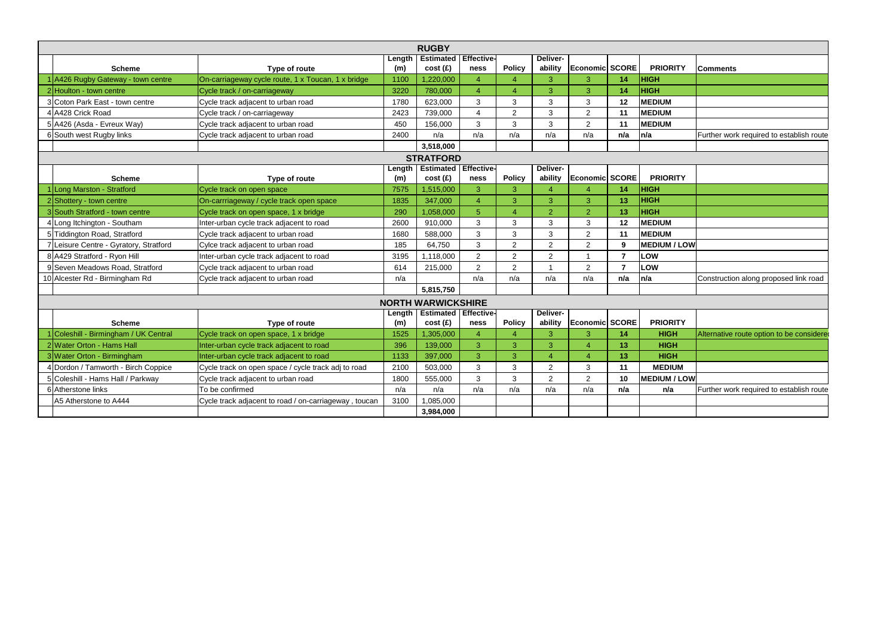|                                        | <b>RUGBY</b>                                          |        |                               |                          |                       |                 |                            |                |                     |                                          |
|----------------------------------------|-------------------------------------------------------|--------|-------------------------------|--------------------------|-----------------------|-----------------|----------------------------|----------------|---------------------|------------------------------------------|
|                                        |                                                       | Length | <b>Estimated Effective-</b>   |                          |                       | <b>Deliver-</b> |                            |                |                     |                                          |
| <b>Scheme</b>                          | Type of route                                         | (m)    | cost(f)                       | ness                     | <b>Policy</b>         | ability         | Economic SCORE             |                | <b>PRIORITY</b>     | Comments                                 |
| A426 Rugby Gateway - town centre       | On-carriageway cycle route, 1 x Toucan, 1 x bridge    | 1100   | 1,220,000                     | 4                        | 4                     | 3               | 3                          | 14             | <b>HIGH</b>         |                                          |
| 2 Houlton - town centre                | Cycle track / on-carriageway                          | 3220   | 780,000                       | $\boldsymbol{\varDelta}$ | $\overline{A}$        | 3               | 3                          | 14             | <b>HIGH</b>         |                                          |
| 3 Coton Park East - town centre        | Cycle track adjacent to urban road                    | 1780   | 623,000                       | 3                        | 3                     | 3               | 3                          | 12             | <b>MEDIUM</b>       |                                          |
| 4 A428 Crick Road                      | Cycle track / on-carriageway                          | 2423   | 739,000                       | $\boldsymbol{\Delta}$    | $\overline{2}$        | $\mathbf{3}$    | 2                          | 11             | <b>MEDIUM</b>       |                                          |
| 5 A426 (Asda - Evreux Way)             | Cycle track adjacent to urban road                    | 450    | 156,000                       | 3                        | 3                     | 3               | $\overline{2}$             | 11             | <b>MEDIUM</b>       |                                          |
| 6 South west Rugby links               | Cycle track adjacent to urban road                    | 2400   | n/a                           | n/a                      | n/a                   | n/a             | n/a                        | n/a            | n/a                 | Further work required to establish route |
|                                        |                                                       |        | 3,518,000                     |                          |                       |                 |                            |                |                     |                                          |
|                                        |                                                       |        | <b>STRATFORD</b>              |                          |                       |                 |                            |                |                     |                                          |
|                                        |                                                       | Length | <b>Estimated Effective-</b>   |                          |                       | Deliver-        |                            |                |                     |                                          |
| <b>Scheme</b>                          | Type of route                                         | (m)    | cost(f)                       | ness                     | <b>Policy</b>         | ability         | <b>Economic SCORE</b>      |                | <b>PRIORITY</b>     |                                          |
| Long Marston - Stratford               | Cycle track on open space                             | 7575   | 1,515,000                     | 3                        | 3                     | $\overline{4}$  |                            | 14             | <b>HIGH</b>         |                                          |
| 2 Shottery - town centre               | On-carrriageway / cycle track open space              | 1835   | 347,000                       | $\overline{\mathcal{A}}$ | 3                     | 3               | 3                          | 13             | <b>HIGH</b>         |                                          |
| 3 South Stratford - town centre        | Cycle track on open space, 1 x bridge                 | 290    | 1,058,000                     | 5                        | $\boldsymbol{\Delta}$ | $\overline{2}$  | $\overline{2}$             | 13             | <b>HIGH</b>         |                                          |
| 4 Long Itchington - Southam            | Inter-urban cycle track adjacent to road              | 2600   | 910,000                       | 3                        | 3                     | 3               | 3                          | 12             | <b>MEDIUM</b>       |                                          |
| 5 Tiddington Road, Stratford           | Cycle track adjacent to urban road                    | 1680   | 588,000                       | 3                        | 3                     | 3               | $\overline{2}$             | 11             | <b>MEDIUM</b>       |                                          |
| 7 Leisure Centre - Gyratory, Stratford | Cylce track adjacent to urban road                    | 185    | 64,750                        | 3                        | $\overline{2}$        | 2               | $\overline{2}$             | 9              | <b>MEDIUM / LOW</b> |                                          |
| 8 A429 Stratford - Ryon Hill           | Inter-urban cycle track adjacent to road              | 3195   | 1,118,000                     | $\overline{2}$           | $\overline{2}$        | 2               |                            | $\overline{7}$ | LOW                 |                                          |
| 9 Seven Meadows Road, Stratford        | Cycle track adjacent to urban road                    | 614    | 215,000                       | $\overline{2}$           | $\overline{2}$        | $\overline{1}$  | 2                          | $\overline{7}$ | LOW                 |                                          |
| 10 Alcester Rd - Birmingham Rd         | Cycle track adjacent to urban road                    | n/a    |                               | n/a                      | n/a                   | n/a             | n/a                        | n/a            | n/a                 | Construction along proposed link road    |
|                                        |                                                       |        | 5,815,750                     |                          |                       |                 |                            |                |                     |                                          |
|                                        |                                                       |        | <b>NORTH WARWICKSHIRE</b>     |                          |                       |                 |                            |                |                     |                                          |
|                                        |                                                       | Length | <b>Estimated   Effective-</b> |                          |                       | Deliver-        |                            |                |                     |                                          |
| <b>Scheme</b>                          | Type of route                                         | (m)    | cost(f)                       | ness                     | <b>Policy</b>         | ability         | Economic SCORE             |                | <b>PRIORITY</b>     |                                          |
| Coleshill - Birmingham / UK Central    | Cycle track on open space, 1 x bridge                 | 1525   | 1,305,000                     | Δ                        | ⊿                     | 3               | з                          | 14             | <b>HIGH</b>         | Alternative route option to be considere |
| 2 Water Orton - Hams Hall              | Inter-urban cycle track adjacent to road              | 396    | 139,000                       | 3                        | 3                     | 3               | $\Delta$                   | 13             | <b>HIGH</b>         |                                          |
| 3 Water Orton - Birmingham             | Inter-urban cycle track adjacent to road              | 1133   | 397,000                       | 3                        | 3                     | $\overline{4}$  | $\boldsymbol{\mathcal{A}}$ | 13             | <b>HIGH</b>         |                                          |
| 4 Dordon / Tamworth - Birch Coppice    | Cycle track on open space / cycle track adj to road   | 2100   | 503,000                       | 3                        | 3                     | 2               | 3                          | 11             | <b>MEDIUM</b>       |                                          |
| 5 Coleshill - Hams Hall / Parkway      | Cycle track adjacent to urban road                    | 1800   | 555,000                       | 3                        | 3                     | $\overline{2}$  | $\overline{2}$             | 10             | <b>MEDIUM / LOW</b> |                                          |
| 6 Atherstone links                     | To be confirmed                                       | n/a    | n/a                           | n/a                      | n/a                   | n/a             | n/a                        | n/a            | n/a                 | Further work required to establish route |
| A5 Atherstone to A444                  | Cycle track adjacent to road / on-carriageway, toucan | 3100   | 1,085,000                     |                          |                       |                 |                            |                |                     |                                          |
|                                        |                                                       |        | 3,984,000                     |                          |                       |                 |                            |                |                     |                                          |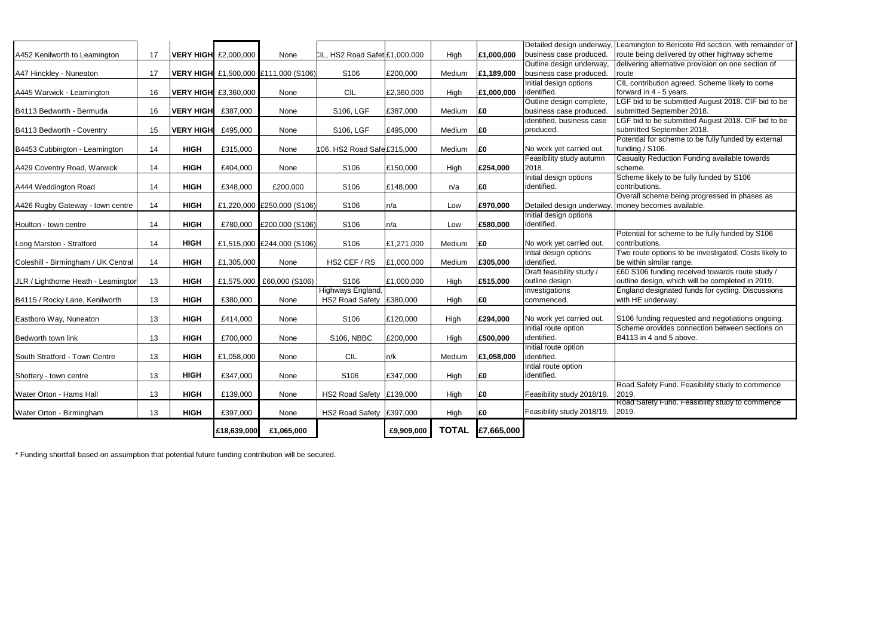|                                     |    |                  | £18,639,000                 | £1,065,000                           |                                             | £9,909,000 | <b>TOTAL</b> | £7,665,000 |                                                      |                                             |
|-------------------------------------|----|------------------|-----------------------------|--------------------------------------|---------------------------------------------|------------|--------------|------------|------------------------------------------------------|---------------------------------------------|
| Water Orton - Birmingham            | 13 | <b>HIGH</b>      | £397,000                    | None                                 | HS2 Road Safety E397,000                    |            | High         | £0         | Feasibility study 2018/19.                           | Road Safety Fund.<br>2019.                  |
| Water Orton - Hams Hall             | 13 | <b>HIGH</b>      | £139,000                    | None                                 | HS2 Road Safety £139,000                    |            | High         | £0         | Feasibility study 2018/19.                           | Road Safety Fund.<br>2019.                  |
| Shottery - town centre              | 13 | <b>HIGH</b>      | £347,000                    | None                                 | S106                                        | £347,000   | High         | £0         | Intial route option<br>identified.                   |                                             |
| South Stratford - Town Centre       | 13 | <b>HIGH</b>      | £1,058,000                  | None                                 | <b>CIL</b>                                  | n/k        | Medium       | £1,058,000 | Initial route option<br>identified.                  |                                             |
| Bedworth town link                  | 13 | <b>HIGH</b>      | £700,000                    | None                                 | <b>S106, NBBC</b>                           | £200,000   | High         | £500,000   | Initial route option<br>identified.                  | Scheme orovides<br>B4113 in 4 and 5 a       |
| Eastboro Way, Nuneaton              | 13 | <b>HIGH</b>      | £414,000                    | None                                 | S106                                        | £120,000   | High         | £294,000   | No work yet carried out.                             | S106 funding requ                           |
| B4115 / Rocky Lane, Kenilworth      | 13 | <b>HIGH</b>      | £380,000                    | None                                 | Highways England,<br><b>HS2 Road Safety</b> | £380,000   | High         | £0         | investigations<br>commenced.                         | England designate<br>with HE underway.      |
| JLR / Lighthorne Heath - Leamingtor | 13 | <b>HIGH</b>      | £1,575,000                  | £60,000 (S106)                       | S106                                        | £1,000,000 | High         | £515,000   | Draft feasibility study /<br>outline design.         | £60 S106 funding<br>outline design, whi     |
| Coleshill - Birmingham / UK Central | 14 | <b>HIGH</b>      | £1,305,000                  | None                                 | HS2 CEF / RS                                | £1,000,000 | Medium       | £305,000   | Intial design options<br>identified.                 | Two route options<br>be within similar ra   |
| Long Marston - Stratford            | 14 | <b>HIGH</b>      |                             | £1,515,000 £244,000 (S106)           | S106                                        | £1,271,000 | Medium       | £0         | No work yet carried out.                             | Potential for schen<br>contributions.       |
| Houlton - town centre               | 14 | <b>HIGH</b>      | £780,000                    | £200,000 (S106)                      | S106                                        | n/a        | Low          | £580,000   | Initial design options<br>identified.                |                                             |
| A426 Rugby Gateway - town centre    | 14 | <b>HIGH</b>      |                             | £1,220,000 £250,000 (S106)           | S106                                        | n/a        | Low          | £970,000   | Detailed design underway.                            | Overall scheme be<br>money becomes a        |
| A444 Weddington Road                | 14 | <b>HIGH</b>      | £348,000                    | £200,000                             | S106                                        | £148,000   | n/a          | £0         | Initial design options<br>identified.                | Scheme likely to b<br>contributions.        |
| A429 Coventry Road, Warwick         | 14 | <b>HIGH</b>      | £404,000                    | None                                 | S106                                        | £150,000   | High         | £254,000   | Feasibility study autumn<br>2018.                    | <b>Casualty Reductio</b><br>scheme.         |
| B4453 Cubbington - Leamington       | 14 | <b>HIGH</b>      | £315,000                    | None                                 | 106, HS2 Road Safe £315,000                 |            | Medium       | £0         | No work yet carried out.                             | Potential for schen<br>funding / S106.      |
| B4113 Bedworth - Coventry           | 15 | <b>VERY HIGH</b> | £495,000                    | None                                 | S106, LGF                                   | £495,000   | Medium       | £0         | identified, business case<br>produced.               | LGF bid to be subr<br>submitted Septem      |
| B4113 Bedworth - Bermuda            | 16 | <b>VERY HIGH</b> | £387,000                    | None                                 | <b>S106, LGF</b>                            | £387,000   | Medium       | £0         | Outline design complete,<br>business case produced.  | LGF bid to be subr<br>submitted Septem      |
| A445 Warwick - Leamington           | 16 |                  | <b>VERY HIGH</b> £3,360,000 | None                                 | <b>CIL</b>                                  | £2,360,000 | High         | £1,000,000 | Initial design options<br>identified.                | CIL contribution ag<br>forward in 4 - 5 yea |
| A47 Hinckley - Nuneaton             | 17 |                  |                             | VERY HIGH £1,500,000 £111,000 (S106) | S106                                        | £200,000   | Medium       | £1,189,000 | Outline design underway,<br>business case produced.  | delivering alternati<br>route               |
| A452 Kenilworth to Leamington       | 17 | <b>VERY HIGH</b> | £2,000,000                  | None                                 | CIL, HS2 Road Safet £1,000,000              |            | High         | £1,000,000 | Detailed design underway,<br>business case produced. | Leamington to Ber<br>route being deliver    |
|                                     |    |                  |                             |                                      |                                             |            |              |            |                                                      |                                             |

\* Funding shortfall based on assumption that potential future funding contribution will be secured.

ricote Rd section, with remainder of red by other highway scheme tive provision on one section of

agreed. Scheme likely to come ears.

omitted August 2018. CIF bid to be  $nber 2018.$ 

<u>Loct be subted</u><br>Internal august 2018. CIF bid to be  $nber 2018.$ 

me to be fully funded by external

on Funding available towards

be fully funded by S106

eing progressed in phases as available.

me to be fully funded by S106

to be investigated. Costs likely to ange.

g received towards route study / ich will be completed in 2019.

ed funds for cycling. Discussions

**Easted and negotiations ongoing.** connection between sections on above.

I. Feasibility study to commence

**R. Feasibility study to commence**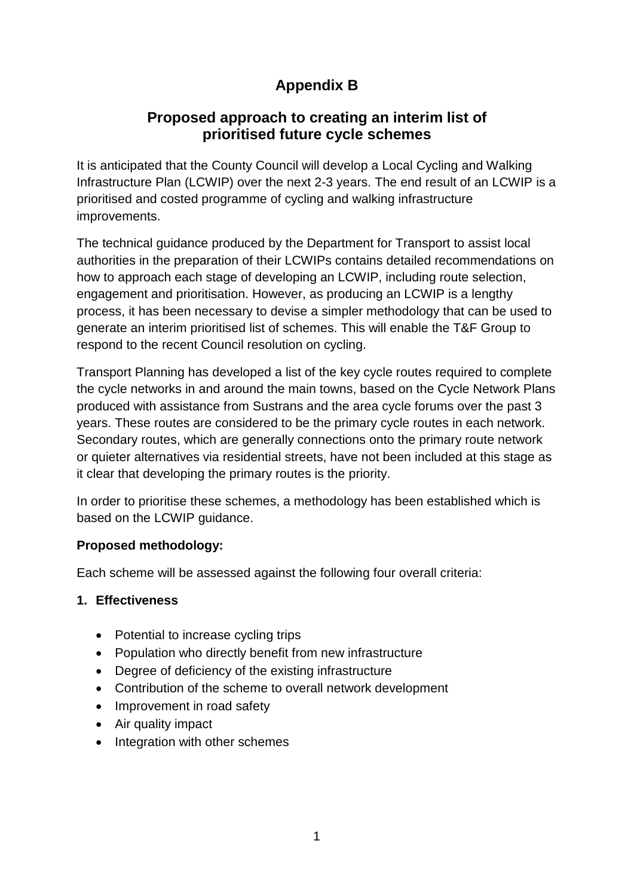# **Appendix B**

### **Proposed approach to creating an interim list of prioritised future cycle schemes**

It is anticipated that the County Council will develop a Local Cycling and Walking Infrastructure Plan (LCWIP) over the next 2-3 years. The end result of an LCWIP is a prioritised and costed programme of cycling and walking infrastructure improvements.

The technical guidance produced by the Department for Transport to assist local authorities in the preparation of their LCWIPs contains detailed recommendations on how to approach each stage of developing an LCWIP, including route selection, engagement and prioritisation. However, as producing an LCWIP is a lengthy process, it has been necessary to devise a simpler methodology that can be used to generate an interim prioritised list of schemes. This will enable the T&F Group to respond to the recent Council resolution on cycling.

Transport Planning has developed a list of the key cycle routes required to complete the cycle networks in and around the main towns, based on the Cycle Network Plans produced with assistance from Sustrans and the area cycle forums over the past 3 years. These routes are considered to be the primary cycle routes in each network. Secondary routes, which are generally connections onto the primary route network or quieter alternatives via residential streets, have not been included at this stage as it clear that developing the primary routes is the priority.

In order to prioritise these schemes, a methodology has been established which is based on the LCWIP guidance.

#### **Proposed methodology:**

Each scheme will be assessed against the following four overall criteria:

#### **1. Effectiveness**

- Potential to increase cycling trips
- Population who directly benefit from new infrastructure
- Degree of deficiency of the existing infrastructure
- Contribution of the scheme to overall network development
- Improvement in road safety
- Air quality impact
- Integration with other schemes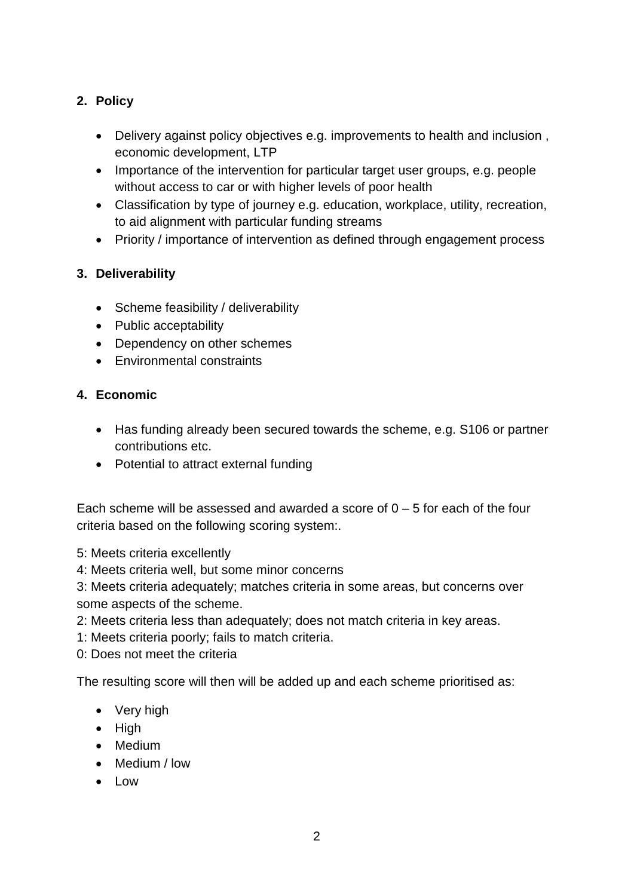#### **2. Policy**

- Delivery against policy objectives e.g. improvements to health and inclusion , economic development, LTP
- Importance of the intervention for particular target user groups, e.g. people without access to car or with higher levels of poor health
- Classification by type of journey e.g. education, workplace, utility, recreation, to aid alignment with particular funding streams
- Priority / importance of intervention as defined through engagement process

#### **3. Deliverability**

- Scheme feasibility / deliverability
- Public acceptability
- Dependency on other schemes
- Environmental constraints

#### **4. Economic**

- Has funding already been secured towards the scheme, e.g. S106 or partner contributions etc.
- Potential to attract external funding

Each scheme will be assessed and awarded a score of  $0 - 5$  for each of the four criteria based on the following scoring system:.

5: Meets criteria excellently

4: Meets criteria well, but some minor concerns

3: Meets criteria adequately; matches criteria in some areas, but concerns over some aspects of the scheme.

- 2: Meets criteria less than adequately; does not match criteria in key areas.
- 1: Meets criteria poorly; fails to match criteria.

0: Does not meet the criteria

The resulting score will then will be added up and each scheme prioritised as:

- Very high
- High
- Medium
- Medium / low
- Low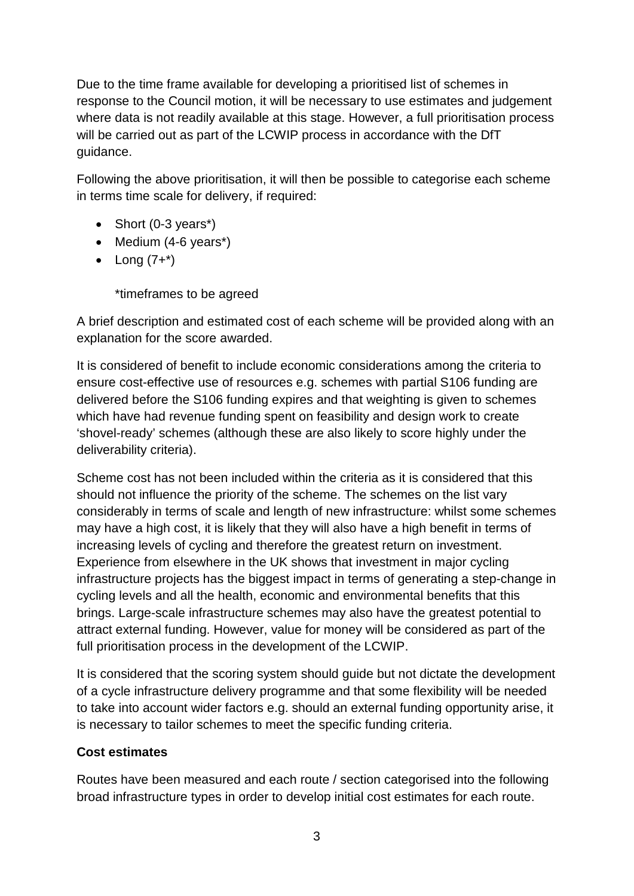Due to the time frame available for developing a prioritised list of schemes in response to the Council motion, it will be necessary to use estimates and judgement where data is not readily available at this stage. However, a full prioritisation process will be carried out as part of the LCWIP process in accordance with the DfT guidance.

Following the above prioritisation, it will then be possible to categorise each scheme in terms time scale for delivery, if required:

- Short (0-3 years<sup>\*</sup>)
- Medium (4-6 years\*)
- Long  $(7+*)$

\*timeframes to be agreed

A brief description and estimated cost of each scheme will be provided along with an explanation for the score awarded.

It is considered of benefit to include economic considerations among the criteria to ensure cost-effective use of resources e.g. schemes with partial S106 funding are delivered before the S106 funding expires and that weighting is given to schemes which have had revenue funding spent on feasibility and design work to create 'shovel-ready' schemes (although these are also likely to score highly under the deliverability criteria).

Scheme cost has not been included within the criteria as it is considered that this should not influence the priority of the scheme. The schemes on the list vary considerably in terms of scale and length of new infrastructure: whilst some schemes may have a high cost, it is likely that they will also have a high benefit in terms of increasing levels of cycling and therefore the greatest return on investment. Experience from elsewhere in the UK shows that investment in major cycling infrastructure projects has the biggest impact in terms of generating a step-change in cycling levels and all the health, economic and environmental benefits that this brings. Large-scale infrastructure schemes may also have the greatest potential to attract external funding. However, value for money will be considered as part of the full prioritisation process in the development of the LCWIP.

It is considered that the scoring system should guide but not dictate the development of a cycle infrastructure delivery programme and that some flexibility will be needed to take into account wider factors e.g. should an external funding opportunity arise, it is necessary to tailor schemes to meet the specific funding criteria.

#### **Cost estimates**

Routes have been measured and each route / section categorised into the following broad infrastructure types in order to develop initial cost estimates for each route.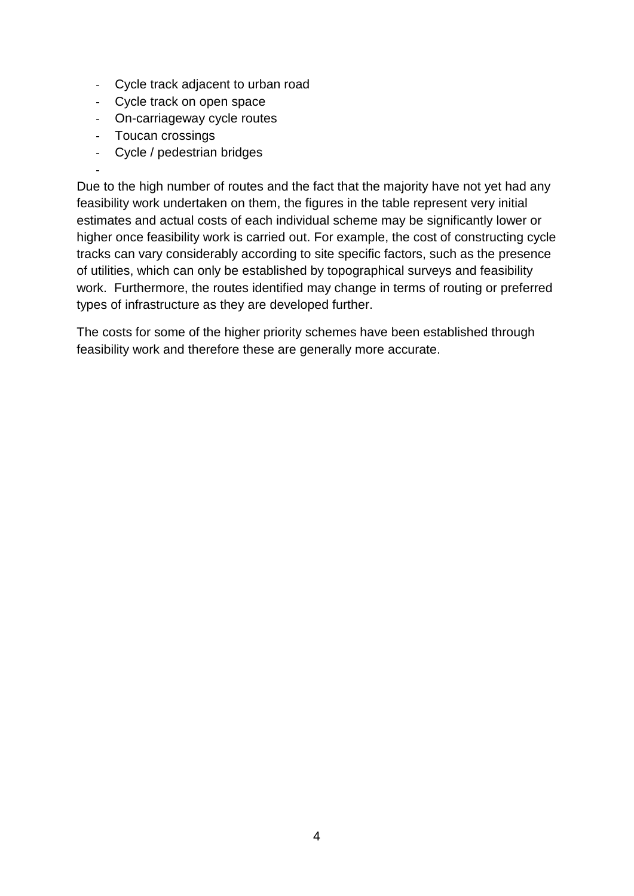- Cycle track adjacent to urban road
- Cycle track on open space
- On-carriageway cycle routes
- Toucan crossings
- Cycle / pedestrian bridges

- Due to the high number of routes and the fact that the majority have not yet had any feasibility work undertaken on them, the figures in the table represent very initial estimates and actual costs of each individual scheme may be significantly lower or higher once feasibility work is carried out. For example, the cost of constructing cycle tracks can vary considerably according to site specific factors, such as the presence of utilities, which can only be established by topographical surveys and feasibility work. Furthermore, the routes identified may change in terms of routing or preferred types of infrastructure as they are developed further.

The costs for some of the higher priority schemes have been established through feasibility work and therefore these are generally more accurate.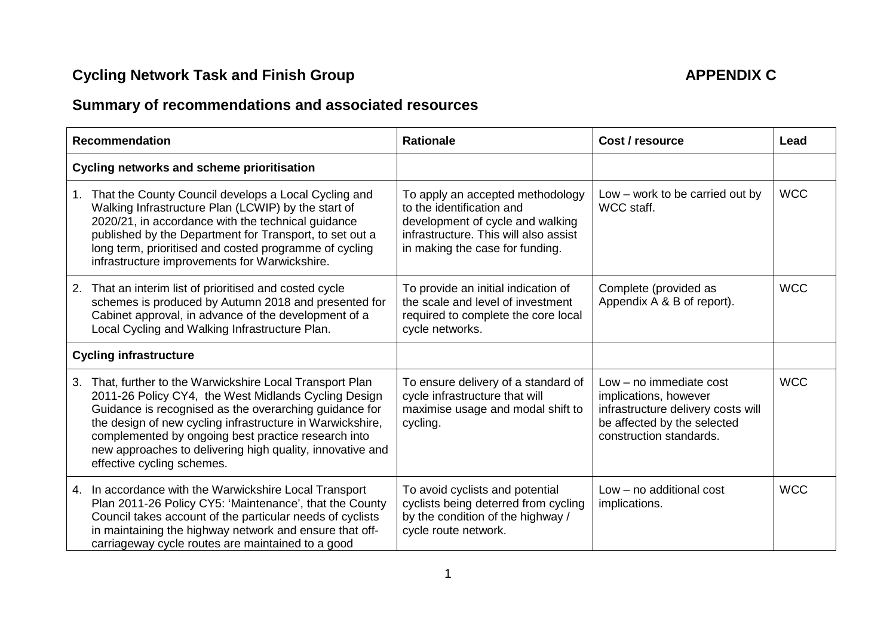# **Cycling Network Task and Finish Group APPENDIX C**

# **Summary of recommendations and associated resources**

| <b>Recommendation</b>                                                                                                                                                                                                                                                                                                                                                                         | <b>Rationale</b>                                                                                                                                                              | Cost / resource                                                                                                                                    | Lead       |
|-----------------------------------------------------------------------------------------------------------------------------------------------------------------------------------------------------------------------------------------------------------------------------------------------------------------------------------------------------------------------------------------------|-------------------------------------------------------------------------------------------------------------------------------------------------------------------------------|----------------------------------------------------------------------------------------------------------------------------------------------------|------------|
| <b>Cycling networks and scheme prioritisation</b>                                                                                                                                                                                                                                                                                                                                             |                                                                                                                                                                               |                                                                                                                                                    |            |
| That the County Council develops a Local Cycling and<br>1.<br>Walking Infrastructure Plan (LCWIP) by the start of<br>2020/21, in accordance with the technical guidance<br>published by the Department for Transport, to set out a<br>long term, prioritised and costed programme of cycling<br>infrastructure improvements for Warwickshire.                                                 | To apply an accepted methodology<br>to the identification and<br>development of cycle and walking<br>infrastructure. This will also assist<br>in making the case for funding. | $Low - work to be carried out by$<br>WCC staff.                                                                                                    | <b>WCC</b> |
| That an interim list of prioritised and costed cycle<br>2.<br>schemes is produced by Autumn 2018 and presented for<br>Cabinet approval, in advance of the development of a<br>Local Cycling and Walking Infrastructure Plan.                                                                                                                                                                  | To provide an initial indication of<br>the scale and level of investment<br>required to complete the core local<br>cycle networks.                                            | Complete (provided as<br>Appendix A & B of report).                                                                                                | <b>WCC</b> |
| <b>Cycling infrastructure</b>                                                                                                                                                                                                                                                                                                                                                                 |                                                                                                                                                                               |                                                                                                                                                    |            |
| That, further to the Warwickshire Local Transport Plan<br>3.<br>2011-26 Policy CY4, the West Midlands Cycling Design<br>Guidance is recognised as the overarching guidance for<br>the design of new cycling infrastructure in Warwickshire,<br>complemented by ongoing best practice research into<br>new approaches to delivering high quality, innovative and<br>effective cycling schemes. | To ensure delivery of a standard of<br>cycle infrastructure that will<br>maximise usage and modal shift to<br>cycling.                                                        | $Low - no$ immediate cost<br>implications, however<br>infrastructure delivery costs will<br>be affected by the selected<br>construction standards. | <b>WCC</b> |
| In accordance with the Warwickshire Local Transport<br>4.<br>Plan 2011-26 Policy CY5: 'Maintenance', that the County<br>Council takes account of the particular needs of cyclists<br>in maintaining the highway network and ensure that off-<br>carriageway cycle routes are maintained to a good                                                                                             | To avoid cyclists and potential<br>cyclists being deterred from cycling<br>by the condition of the highway /<br>cycle route network.                                          | $Low - no$ additional cost<br>implications.                                                                                                        | <b>WCC</b> |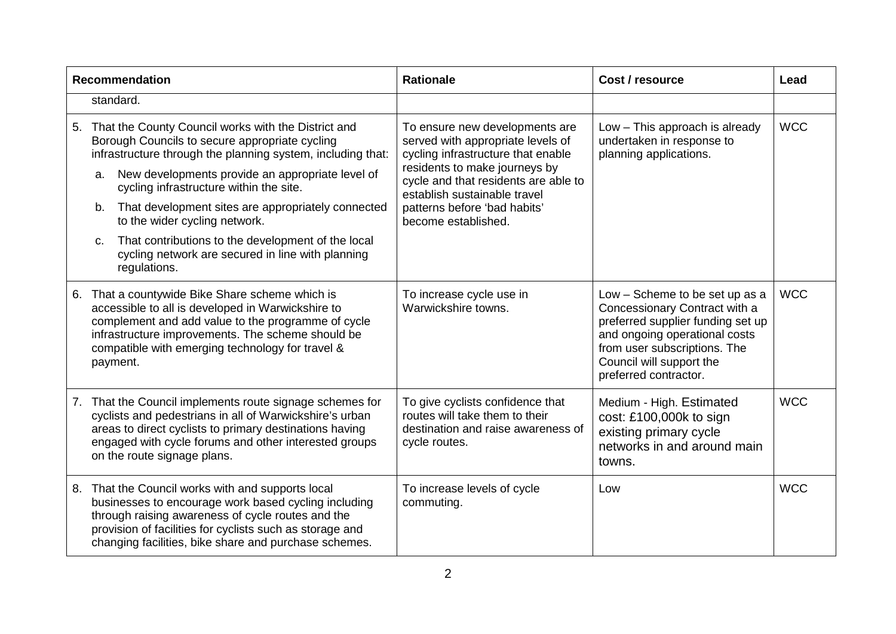|    |          | <b>Recommendation</b>                                                                                                                                                                                                                                                                                                                                      | <b>Rationale</b>                                                                                                                                                                                                                                                          | Cost / resource                                                                                                                                                                                                            | Lead       |
|----|----------|------------------------------------------------------------------------------------------------------------------------------------------------------------------------------------------------------------------------------------------------------------------------------------------------------------------------------------------------------------|---------------------------------------------------------------------------------------------------------------------------------------------------------------------------------------------------------------------------------------------------------------------------|----------------------------------------------------------------------------------------------------------------------------------------------------------------------------------------------------------------------------|------------|
|    |          | standard.                                                                                                                                                                                                                                                                                                                                                  |                                                                                                                                                                                                                                                                           |                                                                                                                                                                                                                            |            |
| 5. | a.<br>b. | That the County Council works with the District and<br>Borough Councils to secure appropriate cycling<br>infrastructure through the planning system, including that:<br>New developments provide an appropriate level of<br>cycling infrastructure within the site.<br>That development sites are appropriately connected<br>to the wider cycling network. | To ensure new developments are<br>served with appropriate levels of<br>cycling infrastructure that enable<br>residents to make journeys by<br>cycle and that residents are able to<br>establish sustainable travel<br>patterns before 'bad habits'<br>become established. | Low - This approach is already<br>undertaken in response to<br>planning applications.                                                                                                                                      | <b>WCC</b> |
|    | C.       | That contributions to the development of the local<br>cycling network are secured in line with planning<br>regulations.                                                                                                                                                                                                                                    |                                                                                                                                                                                                                                                                           |                                                                                                                                                                                                                            |            |
| 6. |          | That a countywide Bike Share scheme which is<br>accessible to all is developed in Warwickshire to<br>complement and add value to the programme of cycle<br>infrastructure improvements. The scheme should be<br>compatible with emerging technology for travel &<br>payment.                                                                               | To increase cycle use in<br>Warwickshire towns.                                                                                                                                                                                                                           | Low - Scheme to be set up as a<br>Concessionary Contract with a<br>preferred supplier funding set up<br>and ongoing operational costs<br>from user subscriptions. The<br>Council will support the<br>preferred contractor. | <b>WCC</b> |
|    |          | 7. That the Council implements route signage schemes for<br>cyclists and pedestrians in all of Warwickshire's urban<br>areas to direct cyclists to primary destinations having<br>engaged with cycle forums and other interested groups<br>on the route signage plans.                                                                                     | To give cyclists confidence that<br>routes will take them to their<br>destination and raise awareness of<br>cycle routes.                                                                                                                                                 | Medium - High. Estimated<br>cost: £100,000k to sign<br>existing primary cycle<br>networks in and around main<br>towns.                                                                                                     | <b>WCC</b> |
| 8. |          | That the Council works with and supports local<br>businesses to encourage work based cycling including<br>through raising awareness of cycle routes and the<br>provision of facilities for cyclists such as storage and<br>changing facilities, bike share and purchase schemes.                                                                           | To increase levels of cycle<br>commuting.                                                                                                                                                                                                                                 | Low                                                                                                                                                                                                                        | <b>WCC</b> |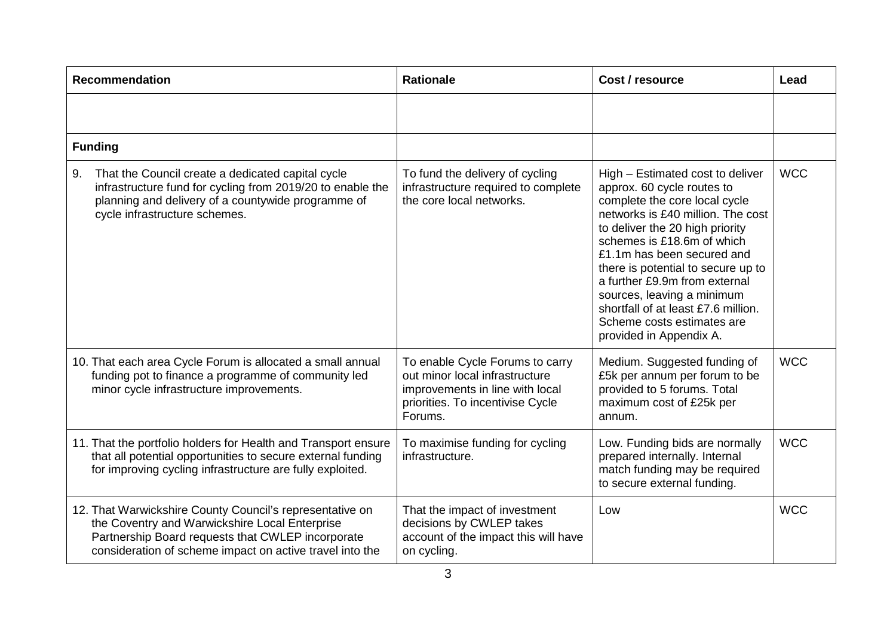| <b>Recommendation</b>                                                                                                                                                                                                       | <b>Rationale</b>                                                                                                                                    | Cost / resource                                                                                                                                                                                                                                                                                                                                                                                                                          | Lead       |
|-----------------------------------------------------------------------------------------------------------------------------------------------------------------------------------------------------------------------------|-----------------------------------------------------------------------------------------------------------------------------------------------------|------------------------------------------------------------------------------------------------------------------------------------------------------------------------------------------------------------------------------------------------------------------------------------------------------------------------------------------------------------------------------------------------------------------------------------------|------------|
|                                                                                                                                                                                                                             |                                                                                                                                                     |                                                                                                                                                                                                                                                                                                                                                                                                                                          |            |
| <b>Funding</b>                                                                                                                                                                                                              |                                                                                                                                                     |                                                                                                                                                                                                                                                                                                                                                                                                                                          |            |
| That the Council create a dedicated capital cycle<br>9.<br>infrastructure fund for cycling from 2019/20 to enable the<br>planning and delivery of a countywide programme of<br>cycle infrastructure schemes.                | To fund the delivery of cycling<br>infrastructure required to complete<br>the core local networks.                                                  | High – Estimated cost to deliver<br>approx. 60 cycle routes to<br>complete the core local cycle<br>networks is £40 million. The cost<br>to deliver the 20 high priority<br>schemes is £18.6m of which<br>£1.1m has been secured and<br>there is potential to secure up to<br>a further £9.9m from external<br>sources, leaving a minimum<br>shortfall of at least £7.6 million.<br>Scheme costs estimates are<br>provided in Appendix A. | <b>WCC</b> |
| 10. That each area Cycle Forum is allocated a small annual<br>funding pot to finance a programme of community led<br>minor cycle infrastructure improvements.                                                               | To enable Cycle Forums to carry<br>out minor local infrastructure<br>improvements in line with local<br>priorities. To incentivise Cycle<br>Forums. | Medium. Suggested funding of<br>£5k per annum per forum to be<br>provided to 5 forums. Total<br>maximum cost of £25k per<br>annum.                                                                                                                                                                                                                                                                                                       | <b>WCC</b> |
| 11. That the portfolio holders for Health and Transport ensure<br>that all potential opportunities to secure external funding<br>for improving cycling infrastructure are fully exploited.                                  | To maximise funding for cycling<br>infrastructure.                                                                                                  | Low. Funding bids are normally<br>prepared internally. Internal<br>match funding may be required<br>to secure external funding.                                                                                                                                                                                                                                                                                                          | <b>WCC</b> |
| 12. That Warwickshire County Council's representative on<br>the Coventry and Warwickshire Local Enterprise<br>Partnership Board requests that CWLEP incorporate<br>consideration of scheme impact on active travel into the | That the impact of investment<br>decisions by CWLEP takes<br>account of the impact this will have<br>on cycling.                                    | Low                                                                                                                                                                                                                                                                                                                                                                                                                                      | <b>WCC</b> |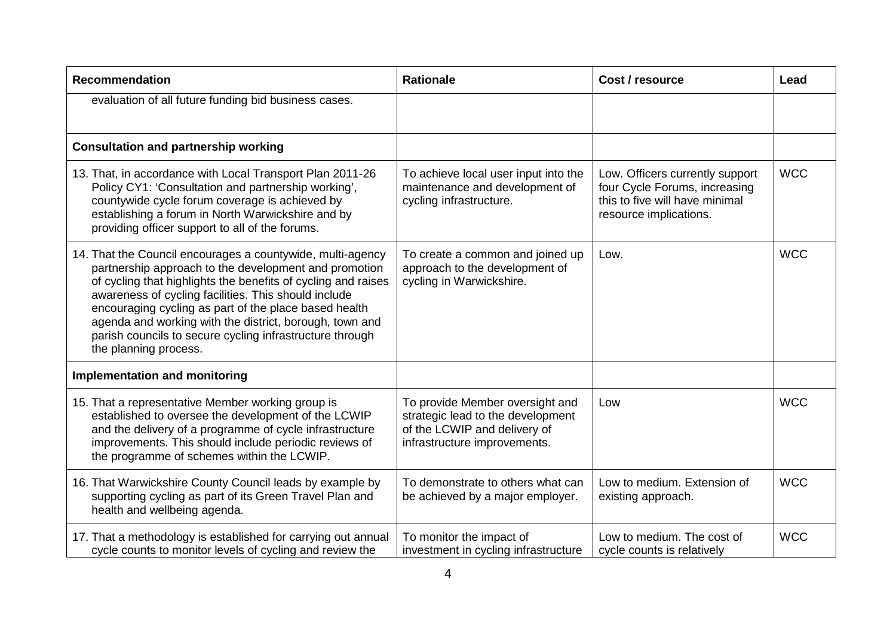| <b>Recommendation</b>                                                                                                                                                                                                                                                                                                                                                                                                                                 | <b>Rationale</b>                                                                                                                     | Cost / resource                                                                                                              | Lead       |
|-------------------------------------------------------------------------------------------------------------------------------------------------------------------------------------------------------------------------------------------------------------------------------------------------------------------------------------------------------------------------------------------------------------------------------------------------------|--------------------------------------------------------------------------------------------------------------------------------------|------------------------------------------------------------------------------------------------------------------------------|------------|
| evaluation of all future funding bid business cases.                                                                                                                                                                                                                                                                                                                                                                                                  |                                                                                                                                      |                                                                                                                              |            |
| <b>Consultation and partnership working</b>                                                                                                                                                                                                                                                                                                                                                                                                           |                                                                                                                                      |                                                                                                                              |            |
| 13. That, in accordance with Local Transport Plan 2011-26<br>Policy CY1: 'Consultation and partnership working',<br>countywide cycle forum coverage is achieved by<br>establishing a forum in North Warwickshire and by<br>providing officer support to all of the forums.                                                                                                                                                                            | To achieve local user input into the<br>maintenance and development of<br>cycling infrastructure.                                    | Low. Officers currently support<br>four Cycle Forums, increasing<br>this to five will have minimal<br>resource implications. | <b>WCC</b> |
| 14. That the Council encourages a countywide, multi-agency<br>partnership approach to the development and promotion<br>of cycling that highlights the benefits of cycling and raises<br>awareness of cycling facilities. This should include<br>encouraging cycling as part of the place based health<br>agenda and working with the district, borough, town and<br>parish councils to secure cycling infrastructure through<br>the planning process. | To create a common and joined up<br>approach to the development of<br>cycling in Warwickshire.                                       | Low.                                                                                                                         | <b>WCC</b> |
| <b>Implementation and monitoring</b>                                                                                                                                                                                                                                                                                                                                                                                                                  |                                                                                                                                      |                                                                                                                              |            |
| 15. That a representative Member working group is<br>established to oversee the development of the LCWIP<br>and the delivery of a programme of cycle infrastructure<br>improvements. This should include periodic reviews of<br>the programme of schemes within the LCWIP.                                                                                                                                                                            | To provide Member oversight and<br>strategic lead to the development<br>of the LCWIP and delivery of<br>infrastructure improvements. | Low                                                                                                                          | <b>WCC</b> |
| 16. That Warwickshire County Council leads by example by<br>supporting cycling as part of its Green Travel Plan and<br>health and wellbeing agenda.                                                                                                                                                                                                                                                                                                   | To demonstrate to others what can<br>be achieved by a major employer.                                                                | Low to medium. Extension of<br>existing approach.                                                                            | <b>WCC</b> |
| 17. That a methodology is established for carrying out annual<br>cycle counts to monitor levels of cycling and review the                                                                                                                                                                                                                                                                                                                             | To monitor the impact of<br>investment in cycling infrastructure                                                                     | Low to medium. The cost of<br>cycle counts is relatively                                                                     | <b>WCC</b> |